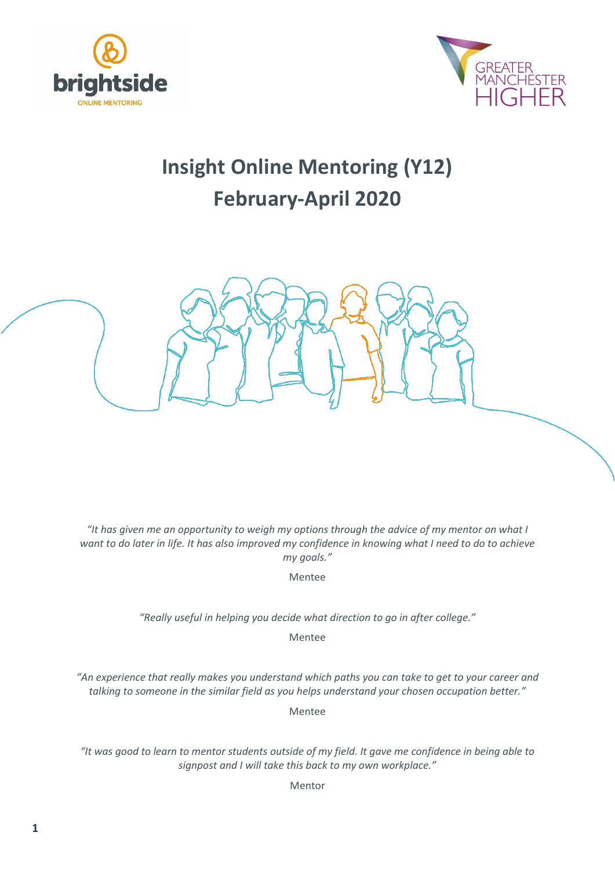



# **Insight Online Mentoring (Y12) February-April 2020**



*"It has given me an opportunity to weigh my options through the advice of my mentor on what I want to do later in life. It has also improved my confidence in knowing what I need to do to achieve my goals."*

Mentee

*"Really useful in helping you decide what direction to go in after college."*

Mentee

*"An experience that really makes you understand which paths you can take to get to your career and talking to someone in the similar field as you helps understand your chosen occupation better."*

Mentee

*"It was good to learn to mentor students outside of my field. It gave me confidence in being able to signpost and I will take this back to my own workplace."*

Mentor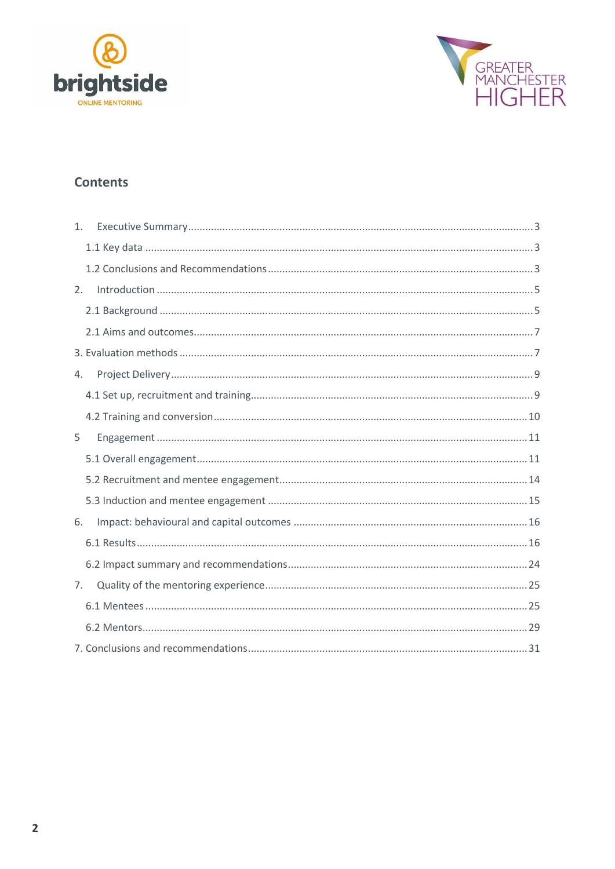



# **Contents**

| 1.             |
|----------------|
|                |
|                |
| 2.             |
|                |
|                |
|                |
| 4.             |
|                |
|                |
| 5              |
|                |
|                |
|                |
| 6.             |
|                |
|                |
| 7 <sub>1</sub> |
|                |
|                |
|                |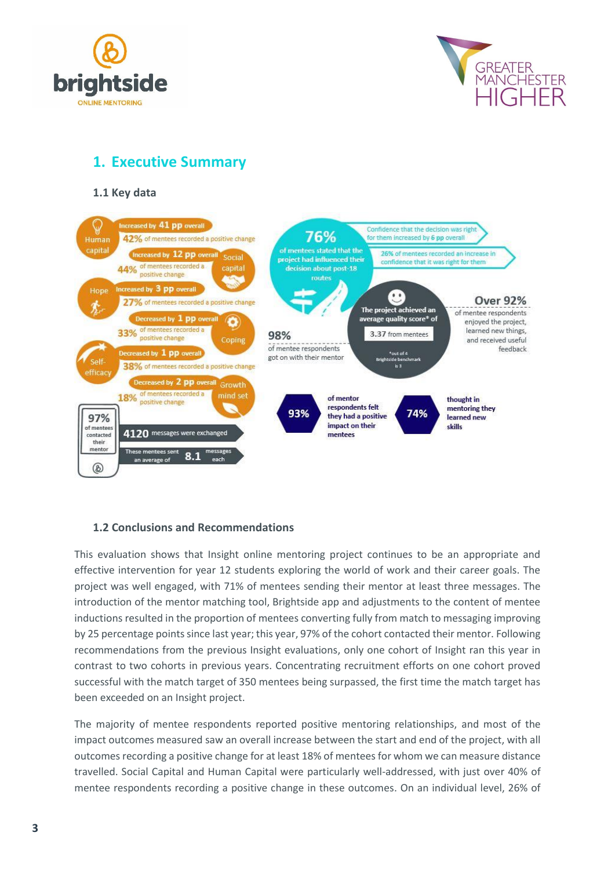



# <span id="page-2-0"></span>**1. Executive Summary**

<span id="page-2-1"></span>**1.1 Key data**



# <span id="page-2-2"></span>**1.2 Conclusions and Recommendations**

This evaluation shows that Insight online mentoring project continues to be an appropriate and effective intervention for year 12 students exploring the world of work and their career goals. The project was well engaged, with 71% of mentees sending their mentor at least three messages. The introduction of the mentor matching tool, Brightside app and adjustments to the content of mentee inductions resulted in the proportion of mentees converting fully from match to messaging improving by 25 percentage points since last year; this year, 97% of the cohort contacted their mentor. Following recommendations from the previous Insight evaluations, only one cohort of Insight ran this year in contrast to two cohorts in previous years. Concentrating recruitment efforts on one cohort proved successful with the match target of 350 mentees being surpassed, the first time the match target has been exceeded on an Insight project.

The majority of mentee respondents reported positive mentoring relationships, and most of the impact outcomes measured saw an overall increase between the start and end of the project, with all outcomes recording a positive change for at least 18% of mentees for whom we can measure distance travelled. Social Capital and Human Capital were particularly well-addressed, with just over 40% of mentee respondents recording a positive change in these outcomes. On an individual level, 26% of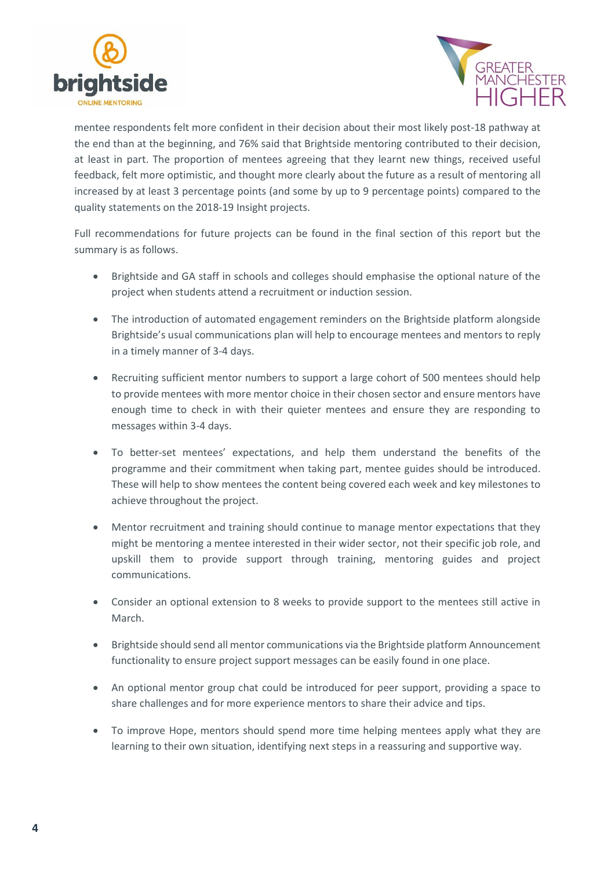



mentee respondents felt more confident in their decision about their most likely post-18 pathway at the end than at the beginning, and 76% said that Brightside mentoring contributed to their decision, at least in part. The proportion of mentees agreeing that they learnt new things, received useful feedback, felt more optimistic, and thought more clearly about the future as a result of mentoring all increased by at least 3 percentage points (and some by up to 9 percentage points) compared to the quality statements on the 2018-19 Insight projects.

Full recommendations for future projects can be found in the final section of this report but the summary is as follows.

- Brightside and GA staff in schools and colleges should emphasise the optional nature of the project when students attend a recruitment or induction session.
- The introduction of automated engagement reminders on the Brightside platform alongside Brightside's usual communications plan will help to encourage mentees and mentors to reply in a timely manner of 3-4 days.
- Recruiting sufficient mentor numbers to support a large cohort of 500 mentees should help to provide mentees with more mentor choice in their chosen sector and ensure mentors have enough time to check in with their quieter mentees and ensure they are responding to messages within 3-4 days.
- To better-set mentees' expectations, and help them understand the benefits of the programme and their commitment when taking part, mentee guides should be introduced. These will help to show mentees the content being covered each week and key milestones to achieve throughout the project.
- Mentor recruitment and training should continue to manage mentor expectations that they might be mentoring a mentee interested in their wider sector, not their specific job role, and upskill them to provide support through training, mentoring guides and project communications.
- Consider an optional extension to 8 weeks to provide support to the mentees still active in March.
- Brightside should send all mentor communications via the Brightside platform Announcement functionality to ensure project support messages can be easily found in one place.
- An optional mentor group chat could be introduced for peer support, providing a space to share challenges and for more experience mentors to share their advice and tips.
- To improve Hope, mentors should spend more time helping mentees apply what they are learning to their own situation, identifying next steps in a reassuring and supportive way.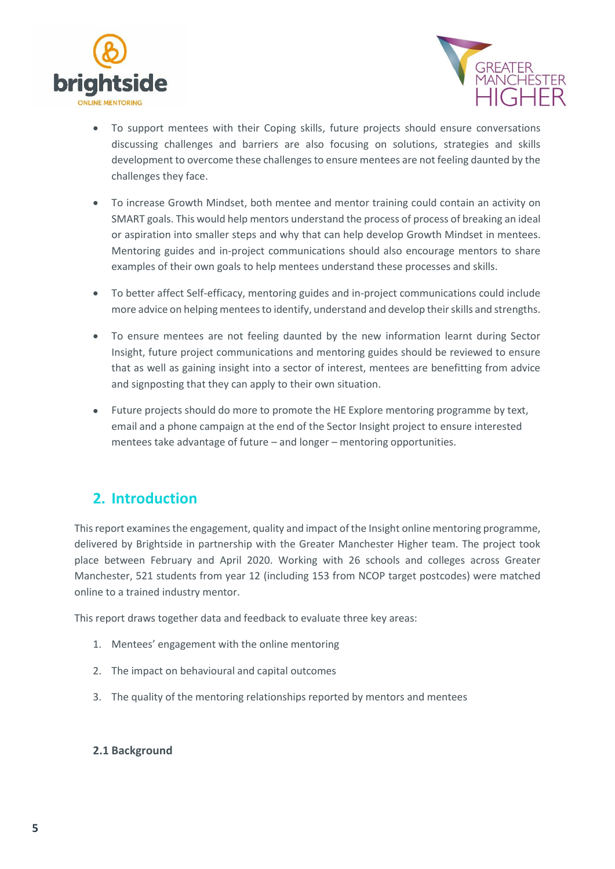



- To support mentees with their Coping skills, future projects should ensure conversations discussing challenges and barriers are also focusing on solutions, strategies and skills development to overcome these challenges to ensure mentees are not feeling daunted by the challenges they face.
- To increase Growth Mindset, both mentee and mentor training could contain an activity on SMART goals. This would help mentors understand the process of process of breaking an ideal or aspiration into smaller steps and why that can help develop Growth Mindset in mentees. Mentoring guides and in-project communications should also encourage mentors to share examples of their own goals to help mentees understand these processes and skills.
- To better affect Self-efficacy, mentoring guides and in-project communications could include more advice on helping mentees to identify, understand and develop their skills and strengths.
- To ensure mentees are not feeling daunted by the new information learnt during Sector Insight, future project communications and mentoring guides should be reviewed to ensure that as well as gaining insight into a sector of interest, mentees are benefitting from advice and signposting that they can apply to their own situation.
- Future projects should do more to promote the HE Explore mentoring programme by text, email and a phone campaign at the end of the Sector Insight project to ensure interested mentees take advantage of future – and longer – mentoring opportunities.

# <span id="page-4-0"></span>**2. Introduction**

This report examines the engagement, quality and impact of the Insight online mentoring programme, delivered by Brightside in partnership with the Greater Manchester Higher team. The project took place between February and April 2020. Working with 26 schools and colleges across Greater Manchester, 521 students from year 12 (including 153 from NCOP target postcodes) were matched online to a trained industry mentor.

This report draws together data and feedback to evaluate three key areas:

- 1. Mentees' engagement with the online mentoring
- 2. The impact on behavioural and capital outcomes
- 3. The quality of the mentoring relationships reported by mentors and mentees

### <span id="page-4-1"></span>**2.1 Background**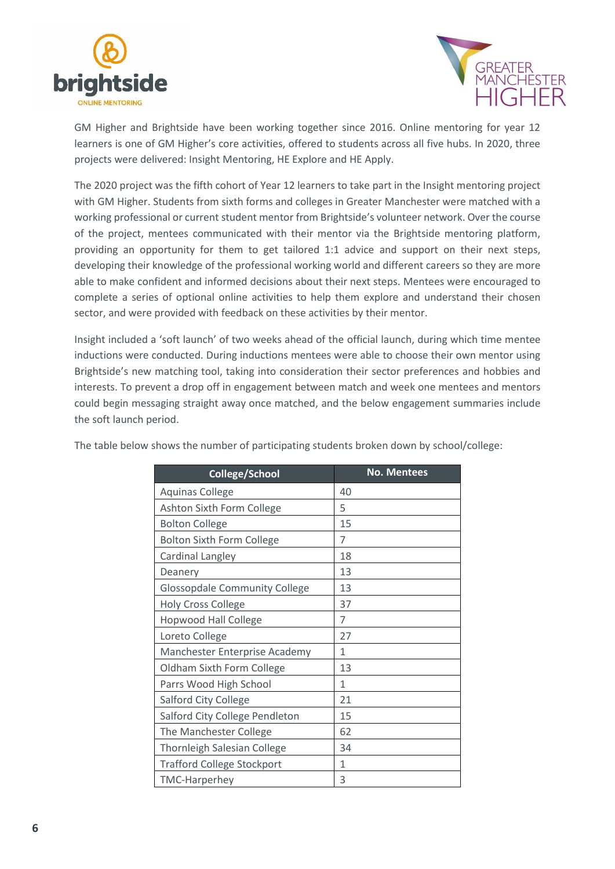



GM Higher and Brightside have been working together since 2016. Online mentoring for year 12 learners is one of GM Higher's core activities, offered to students across all five hubs. In 2020, three projects were delivered: Insight Mentoring, HE Explore and HE Apply.

The 2020 project was the fifth cohort of Year 12 learners to take part in the Insight mentoring project with GM Higher. Students from sixth forms and colleges in Greater Manchester were matched with a working professional or current student mentor from Brightside's volunteer network. Over the course of the project, mentees communicated with their mentor via the Brightside mentoring platform, providing an opportunity for them to get tailored 1:1 advice and support on their next steps, developing their knowledge of the professional working world and different careers so they are more able to make confident and informed decisions about their next steps. Mentees were encouraged to complete a series of optional online activities to help them explore and understand their chosen sector, and were provided with feedback on these activities by their mentor.

Insight included a 'soft launch' of two weeks ahead of the official launch, during which time mentee inductions were conducted. During inductions mentees were able to choose their own mentor using Brightside's new matching tool, taking into consideration their sector preferences and hobbies and interests. To prevent a drop off in engagement between match and week one mentees and mentors could begin messaging straight away once matched, and the below engagement summaries include the soft launch period.

| College/School                       | <b>No. Mentees</b> |
|--------------------------------------|--------------------|
| <b>Aquinas College</b>               | 40                 |
| Ashton Sixth Form College            | 5                  |
| <b>Bolton College</b>                | 15                 |
| <b>Bolton Sixth Form College</b>     | 7                  |
| Cardinal Langley                     | 18                 |
| Deanery                              | 13                 |
| <b>Glossopdale Community College</b> | 13                 |
| <b>Holy Cross College</b>            | 37                 |
| <b>Hopwood Hall College</b>          | 7                  |
| Loreto College                       | 27                 |
| Manchester Enterprise Academy        | 1                  |
| Oldham Sixth Form College            | 13                 |
| Parrs Wood High School               | 1                  |
| <b>Salford City College</b>          | 21                 |
| Salford City College Pendleton       | 15                 |
| The Manchester College               | 62                 |
| <b>Thornleigh Salesian College</b>   | 34                 |
| <b>Trafford College Stockport</b>    | 1                  |
| <b>TMC-Harperhey</b>                 | 3                  |

The table below shows the number of participating students broken down by school/college: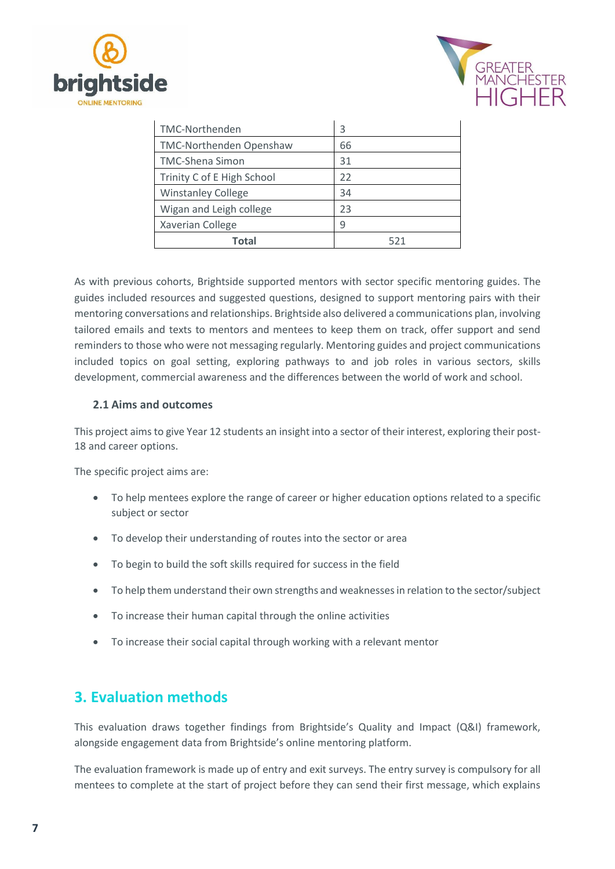



| TMC-Northenden                 | 3   |
|--------------------------------|-----|
| <b>TMC-Northenden Openshaw</b> | 66  |
| <b>TMC-Shena Simon</b>         | 31  |
| Trinity C of E High School     | 22  |
| <b>Winstanley College</b>      | 34  |
| Wigan and Leigh college        | 23  |
| Xaverian College               | q   |
| Total                          | 521 |

As with previous cohorts, Brightside supported mentors with sector specific mentoring guides. The guides included resources and suggested questions, designed to support mentoring pairs with their mentoring conversations and relationships. Brightside also delivered a communications plan, involving tailored emails and texts to mentors and mentees to keep them on track, offer support and send reminders to those who were not messaging regularly. Mentoring guides and project communications included topics on goal setting, exploring pathways to and job roles in various sectors, skills development, commercial awareness and the differences between the world of work and school.

# <span id="page-6-0"></span>**2.1 Aims and outcomes**

This project aims to give Year 12 students an insight into a sector of their interest, exploring their post-18 and career options.

The specific project aims are:

- To help mentees explore the range of career or higher education options related to a specific subject or sector
- To develop their understanding of routes into the sector or area
- To begin to build the soft skills required for success in the field
- To help them understand their own strengths and weaknesses in relation to the sector/subject
- To increase their human capital through the online activities
- To increase their social capital through working with a relevant mentor

# <span id="page-6-1"></span>**3. Evaluation methods**

This evaluation draws together findings from Brightside's Quality and Impact (Q&I) framework, alongside engagement data from Brightside's online mentoring platform.

The evaluation framework is made up of entry and exit surveys. The entry survey is compulsory for all mentees to complete at the start of project before they can send their first message, which explains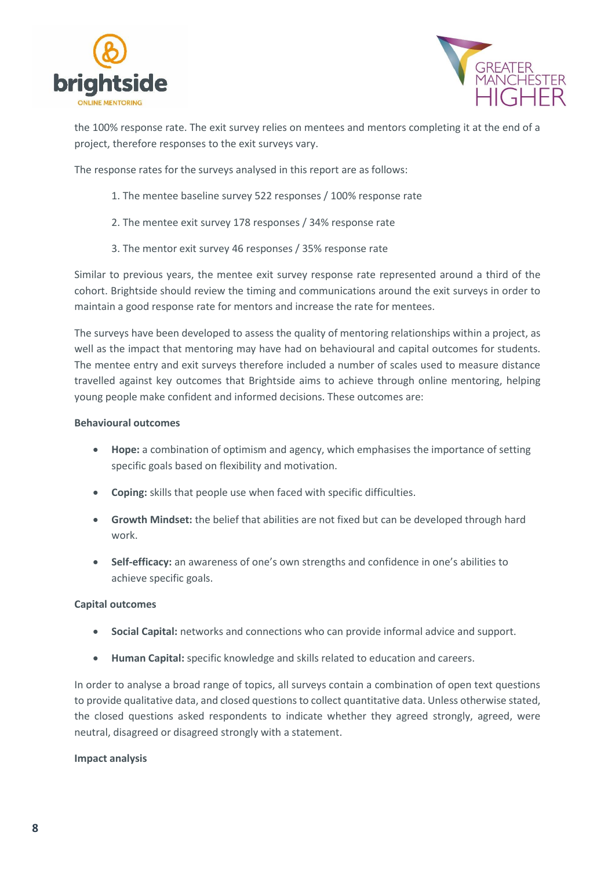



the 100% response rate. The exit survey relies on mentees and mentors completing it at the end of a project, therefore responses to the exit surveys vary.

The response rates for the surveys analysed in this report are as follows:

- 1. The mentee baseline survey 522 responses / 100% response rate
- 2. The mentee exit survey 178 responses / 34% response rate
- 3. The mentor exit survey 46 responses / 35% response rate

Similar to previous years, the mentee exit survey response rate represented around a third of the cohort. Brightside should review the timing and communications around the exit surveys in order to maintain a good response rate for mentors and increase the rate for mentees.

The surveys have been developed to assess the quality of mentoring relationships within a project, as well as the impact that mentoring may have had on behavioural and capital outcomes for students. The mentee entry and exit surveys therefore included a number of scales used to measure distance travelled against key outcomes that Brightside aims to achieve through online mentoring, helping young people make confident and informed decisions. These outcomes are:

#### **Behavioural outcomes**

- **Hope:** a combination of optimism and agency, which emphasises the importance of setting specific goals based on flexibility and motivation.
- **Coping:** skills that people use when faced with specific difficulties.
- **Growth Mindset:** the belief that abilities are not fixed but can be developed through hard work.
- **Self-efficacy:** an awareness of one's own strengths and confidence in one's abilities to achieve specific goals.

#### **Capital outcomes**

- **Social Capital:** networks and connections who can provide informal advice and support.
- **Human Capital:** specific knowledge and skills related to education and careers.

In order to analyse a broad range of topics, all surveys contain a combination of open text questions to provide qualitative data, and closed questions to collect quantitative data. Unless otherwise stated, the closed questions asked respondents to indicate whether they agreed strongly, agreed, were neutral, disagreed or disagreed strongly with a statement.

#### **Impact analysis**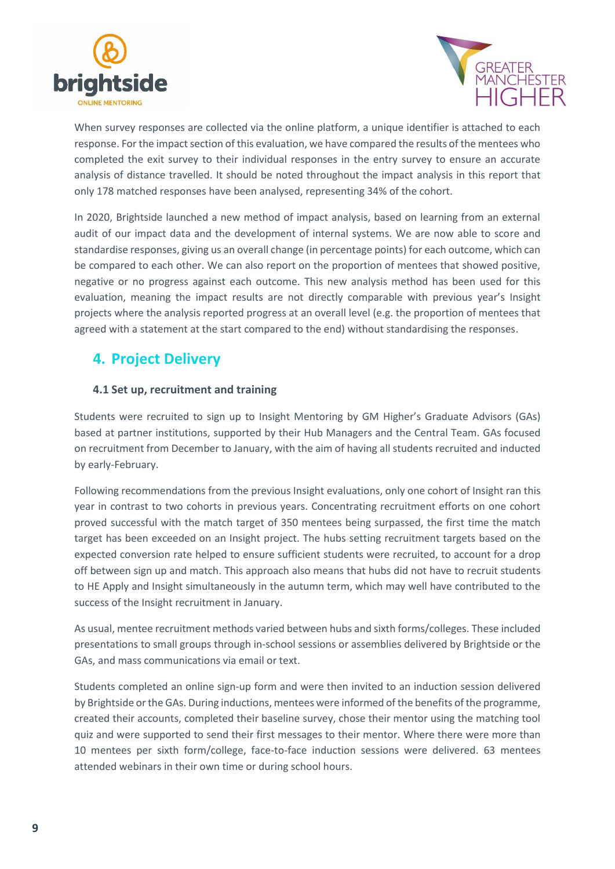



When survey responses are collected via the online platform, a unique identifier is attached to each response. For the impact section of this evaluation, we have compared the results of the mentees who completed the exit survey to their individual responses in the entry survey to ensure an accurate analysis of distance travelled. It should be noted throughout the impact analysis in this report that only 178 matched responses have been analysed, representing 34% of the cohort.

In 2020, Brightside launched a new method of impact analysis, based on learning from an external audit of our impact data and the development of internal systems. We are now able to score and standardise responses, giving us an overall change (in percentage points) for each outcome, which can be compared to each other. We can also report on the proportion of mentees that showed positive, negative or no progress against each outcome. This new analysis method has been used for this evaluation, meaning the impact results are not directly comparable with previous year's Insight projects where the analysis reported progress at an overall level (e.g. the proportion of mentees that agreed with a statement at the start compared to the end) without standardising the responses.

# <span id="page-8-0"></span>**4. Project Delivery**

# <span id="page-8-1"></span>**4.1 Set up, recruitment and training**

Students were recruited to sign up to Insight Mentoring by GM Higher's Graduate Advisors (GAs) based at partner institutions, supported by their Hub Managers and the Central Team. GAs focused on recruitment from December to January, with the aim of having all students recruited and inducted by early-February.

Following recommendations from the previous Insight evaluations, only one cohort of Insight ran this year in contrast to two cohorts in previous years. Concentrating recruitment efforts on one cohort proved successful with the match target of 350 mentees being surpassed, the first time the match target has been exceeded on an Insight project. The hubs setting recruitment targets based on the expected conversion rate helped to ensure sufficient students were recruited, to account for a drop off between sign up and match. This approach also means that hubs did not have to recruit students to HE Apply and Insight simultaneously in the autumn term, which may well have contributed to the success of the Insight recruitment in January.

As usual, mentee recruitment methods varied between hubs and sixth forms/colleges. These included presentations to small groups through in-school sessions or assemblies delivered by Brightside or the GAs, and mass communications via email or text.

Students completed an online sign-up form and were then invited to an induction session delivered by Brightside or the GAs. During inductions, mentees were informed of the benefits of the programme, created their accounts, completed their baseline survey, chose their mentor using the matching tool quiz and were supported to send their first messages to their mentor. Where there were more than 10 mentees per sixth form/college, face-to-face induction sessions were delivered. 63 mentees attended webinars in their own time or during school hours.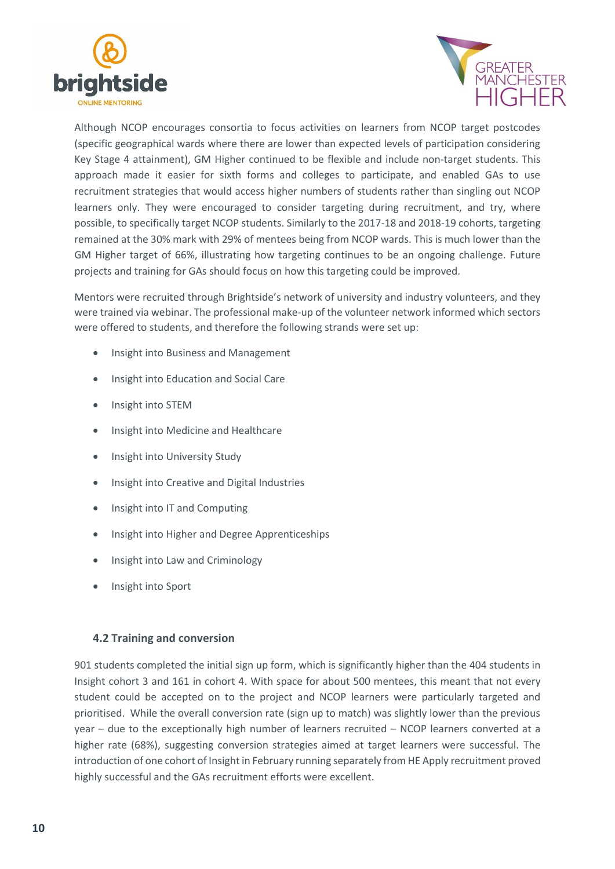



Although NCOP encourages consortia to focus activities on learners from NCOP target postcodes (specific geographical wards where there are lower than expected levels of participation considering Key Stage 4 attainment), GM Higher continued to be flexible and include non-target students. This approach made it easier for sixth forms and colleges to participate, and enabled GAs to use recruitment strategies that would access higher numbers of students rather than singling out NCOP learners only. They were encouraged to consider targeting during recruitment, and try, where possible, to specifically target NCOP students. Similarly to the 2017-18 and 2018-19 cohorts, targeting remained at the 30% mark with 29% of mentees being from NCOP wards. This is much lower than the GM Higher target of 66%, illustrating how targeting continues to be an ongoing challenge. Future projects and training for GAs should focus on how this targeting could be improved.

Mentors were recruited through Brightside's network of university and industry volunteers, and they were trained via webinar. The professional make-up of the volunteer network informed which sectors were offered to students, and therefore the following strands were set up:

- Insight into Business and Management
- Insight into Education and Social Care
- Insight into STEM
- Insight into Medicine and Healthcare
- Insight into University Study
- Insight into Creative and Digital Industries
- Insight into IT and Computing
- **•** Insight into Higher and Degree Apprenticeships
- Insight into Law and Criminology
- Insight into Sport

#### <span id="page-9-0"></span>**4.2 Training and conversion**

901 students completed the initial sign up form, which is significantly higher than the 404 students in Insight cohort 3 and 161 in cohort 4. With space for about 500 mentees, this meant that not every student could be accepted on to the project and NCOP learners were particularly targeted and prioritised. While the overall conversion rate (sign up to match) was slightly lower than the previous year – due to the exceptionally high number of learners recruited – NCOP learners converted at a higher rate (68%), suggesting conversion strategies aimed at target learners were successful. The introduction of one cohort of Insight in February running separately from HE Apply recruitment proved highly successful and the GAs recruitment efforts were excellent.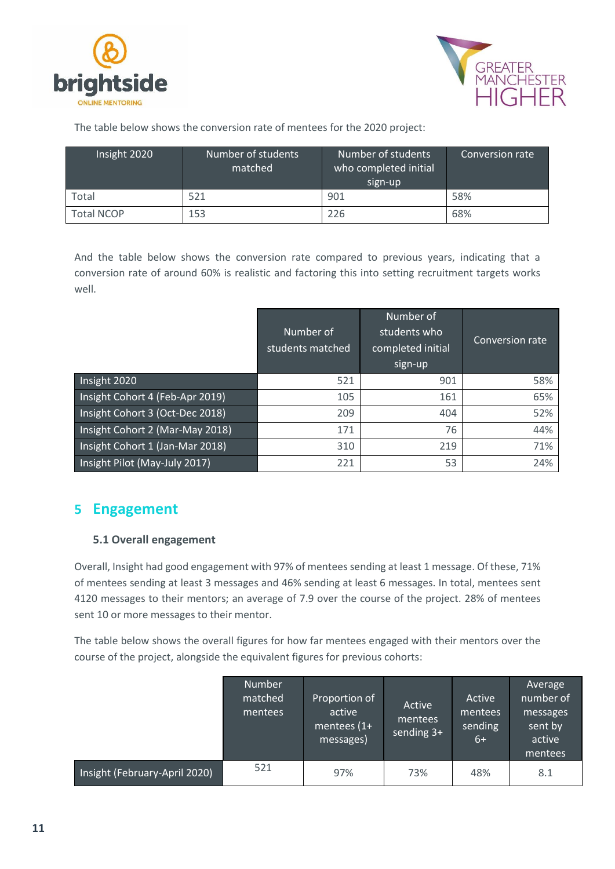



The table below shows the conversion rate of mentees for the 2020 project:

| Insight 2020      | Number of students<br>matched | Number of students<br>who completed initial<br>sign-up | Conversion rate |
|-------------------|-------------------------------|--------------------------------------------------------|-----------------|
| Total             | 521                           | 901                                                    | 58%             |
| <b>Total NCOP</b> | 153                           | 226                                                    | 68%             |

And the table below shows the conversion rate compared to previous years, indicating that a conversion rate of around 60% is realistic and factoring this into setting recruitment targets works well.

|                                 | Number of<br>students matched | Number of<br>students who<br>completed initial<br>sign-up | Conversion rate |
|---------------------------------|-------------------------------|-----------------------------------------------------------|-----------------|
| Insight 2020                    | 521                           | 901                                                       | 58%             |
| Insight Cohort 4 (Feb-Apr 2019) | 105                           | 161                                                       | 65%             |
| Insight Cohort 3 (Oct-Dec 2018) | 209                           | 404                                                       | 52%             |
| Insight Cohort 2 (Mar-May 2018) | 171                           | 76                                                        | 44%             |
| Insight Cohort 1 (Jan-Mar 2018) | 310                           | 219                                                       | 71%             |
| Insight Pilot (May-July 2017)   | 221                           | 53                                                        | 24%             |

# <span id="page-10-0"></span>**5 Engagement**

# <span id="page-10-1"></span>**5.1 Overall engagement**

Overall, Insight had good engagement with 97% of mentees sending at least 1 message. Of these, 71% of mentees sending at least 3 messages and 46% sending at least 6 messages. In total, mentees sent 4120 messages to their mentors; an average of 7.9 over the course of the project. 28% of mentees sent 10 or more messages to their mentor.

The table below shows the overall figures for how far mentees engaged with their mentors over the course of the project, alongside the equivalent figures for previous cohorts:

|                               | Number<br>matched<br>mentees | Proportion of<br>active<br>mentees $(1+$<br>messages) | Active<br>mentees<br>sending $3+$ | Active<br>mentees<br>sending<br>$6+$ | Average<br>number of<br>messages<br>sent by<br>active<br>mentees |
|-------------------------------|------------------------------|-------------------------------------------------------|-----------------------------------|--------------------------------------|------------------------------------------------------------------|
| Insight (February-April 2020) | 521                          | 97%                                                   | 73%                               | 48%                                  | 8.1                                                              |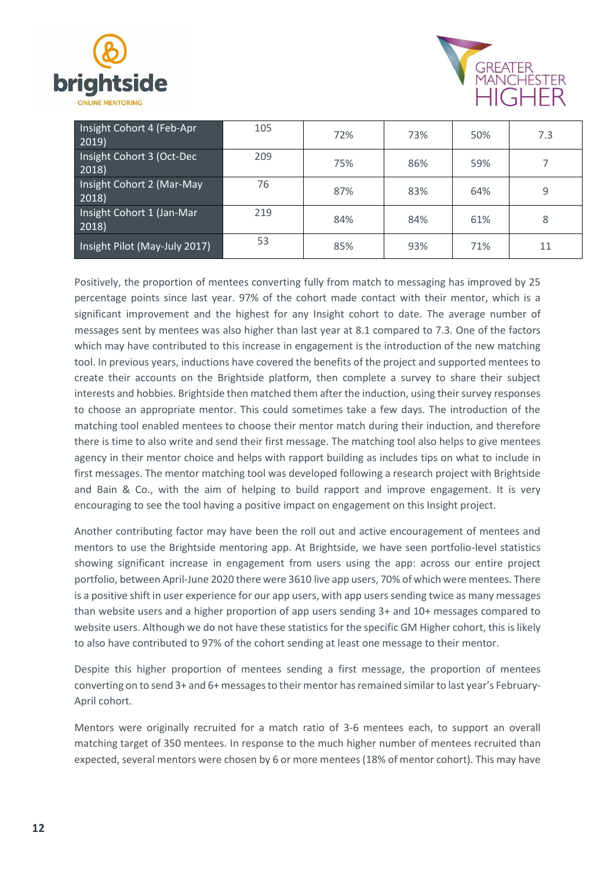



| Insight Cohort 4 (Feb-Apr<br>2019  | 105 | 72% | 73% | 50% | 7.3 |
|------------------------------------|-----|-----|-----|-----|-----|
| Insight Cohort 3 (Oct-Dec<br>2018) | 209 | 75% | 86% | 59% |     |
| Insight Cohort 2 (Mar-May<br>2018) | 76  | 87% | 83% | 64% | 9   |
| Insight Cohort 1 (Jan-Mar<br>2018) | 219 | 84% | 84% | 61% | 8   |
| Insight Pilot (May-July 2017)      | 53  | 85% | 93% | 71% | 11  |

Positively, the proportion of mentees converting fully from match to messaging has improved by 25 percentage points since last year. 97% of the cohort made contact with their mentor, which is a significant improvement and the highest for any Insight cohort to date. The average number of messages sent by mentees was also higher than last year at 8.1 compared to 7.3. One of the factors which may have contributed to this increase in engagement is the introduction of the new matching tool. In previous years, inductions have covered the benefits of the project and supported mentees to create their accounts on the Brightside platform, then complete a survey to share their subject interests and hobbies. Brightside then matched them after the induction, using their survey responses to choose an appropriate mentor. This could sometimes take a few days. The introduction of the matching tool enabled mentees to choose their mentor match during their induction, and therefore there is time to also write and send their first message. The matching tool also helps to give mentees agency in their mentor choice and helps with rapport building as includes tips on what to include in first messages. The mentor matching tool was developed following a research project with Brightside and Bain & Co., with the aim of helping to build rapport and improve engagement. It is very encouraging to see the tool having a positive impact on engagement on this Insight project.

Another contributing factor may have been the roll out and active encouragement of mentees and mentors to use the Brightside mentoring app. At Brightside, we have seen portfolio-level statistics showing significant increase in engagement from users using the app: across our entire project portfolio, between April-June 2020 there were 3610 live app users, 70% of which were mentees. There is a positive shift in user experience for our app users, with app users sending twice as many messages than website users and a higher proportion of app users sending 3+ and 10+ messages compared to website users. Although we do not have these statistics for the specific GM Higher cohort, this is likely to also have contributed to 97% of the cohort sending at least one message to their mentor.

Despite this higher proportion of mentees sending a first message, the proportion of mentees converting on to send 3+ and 6+ messages to their mentor has remained similar to last year's February-April cohort.

Mentors were originally recruited for a match ratio of 3-6 mentees each, to support an overall matching target of 350 mentees. In response to the much higher number of mentees recruited than expected, several mentors were chosen by 6 or more mentees (18% of mentor cohort). This may have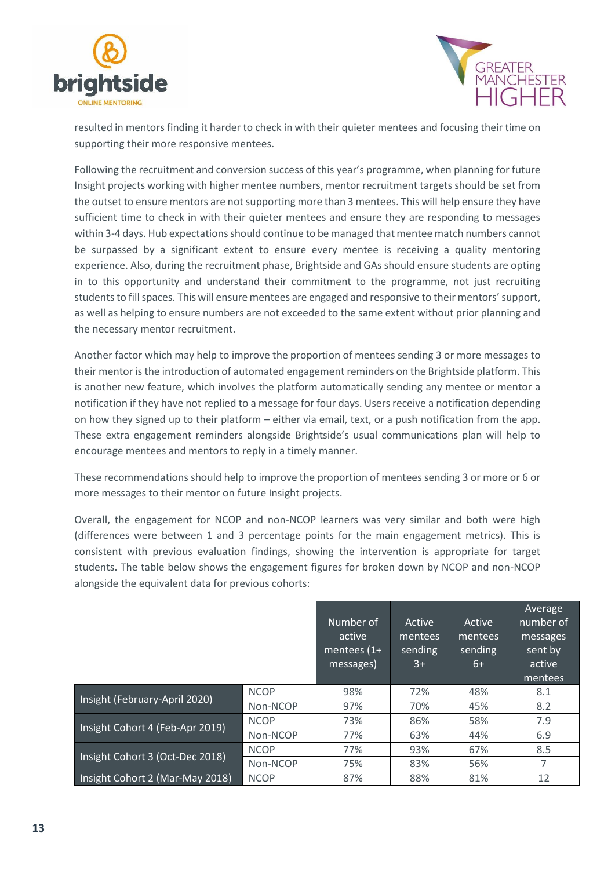



resulted in mentors finding it harder to check in with their quieter mentees and focusing their time on supporting their more responsive mentees.

Following the recruitment and conversion success of this year's programme, when planning for future Insight projects working with higher mentee numbers, mentor recruitment targets should be set from the outset to ensure mentors are not supporting more than 3 mentees. This will help ensure they have sufficient time to check in with their quieter mentees and ensure they are responding to messages within 3-4 days. Hub expectations should continue to be managed that mentee match numbers cannot be surpassed by a significant extent to ensure every mentee is receiving a quality mentoring experience. Also, during the recruitment phase, Brightside and GAs should ensure students are opting in to this opportunity and understand their commitment to the programme, not just recruiting students to fill spaces. This will ensure mentees are engaged and responsive to their mentors'support, as well as helping to ensure numbers are not exceeded to the same extent without prior planning and the necessary mentor recruitment.

Another factor which may help to improve the proportion of mentees sending 3 or more messages to their mentor is the introduction of automated engagement reminders on the Brightside platform. This is another new feature, which involves the platform automatically sending any mentee or mentor a notification if they have not replied to a message for four days. Users receive a notification depending on how they signed up to their platform – either via email, text, or a push notification from the app. These extra engagement reminders alongside Brightside's usual communications plan will help to encourage mentees and mentors to reply in a timely manner.

These recommendations should help to improve the proportion of mentees sending 3 or more or 6 or more messages to their mentor on future Insight projects.

Overall, the engagement for NCOP and non-NCOP learners was very similar and both were high (differences were between 1 and 3 percentage points for the main engagement metrics). This is consistent with previous evaluation findings, showing the intervention is appropriate for target students. The table below shows the engagement figures for broken down by NCOP and non-NCOP alongside the equivalent data for previous cohorts:

|                                 |             | Number of<br>active<br>mentees $(1+$<br>messages) | Active<br>mentees<br>sending<br>$3+$ | Active<br>mentees<br>sending<br>6+ | Average<br>number of<br>messages<br>sent by<br>active<br>mentees |
|---------------------------------|-------------|---------------------------------------------------|--------------------------------------|------------------------------------|------------------------------------------------------------------|
| Insight (February-April 2020)   | <b>NCOP</b> | 98%                                               | 72%                                  | 48%                                | 8.1                                                              |
|                                 | Non-NCOP    | 97%                                               | 70%                                  | 45%                                | 8.2                                                              |
| Insight Cohort 4 (Feb-Apr 2019) | <b>NCOP</b> | 73%                                               | 86%                                  | 58%                                | 7.9                                                              |
|                                 | Non-NCOP    | 77%                                               | 63%                                  | 44%                                | 6.9                                                              |
|                                 | <b>NCOP</b> | 77%                                               | 93%                                  | 67%                                | 8.5                                                              |
| Insight Cohort 3 (Oct-Dec 2018) | Non-NCOP    | 75%                                               | 83%                                  | 56%                                | 7                                                                |
| Insight Cohort 2 (Mar-May 2018) | <b>NCOP</b> | 87%                                               | 88%                                  | 81%                                | 12                                                               |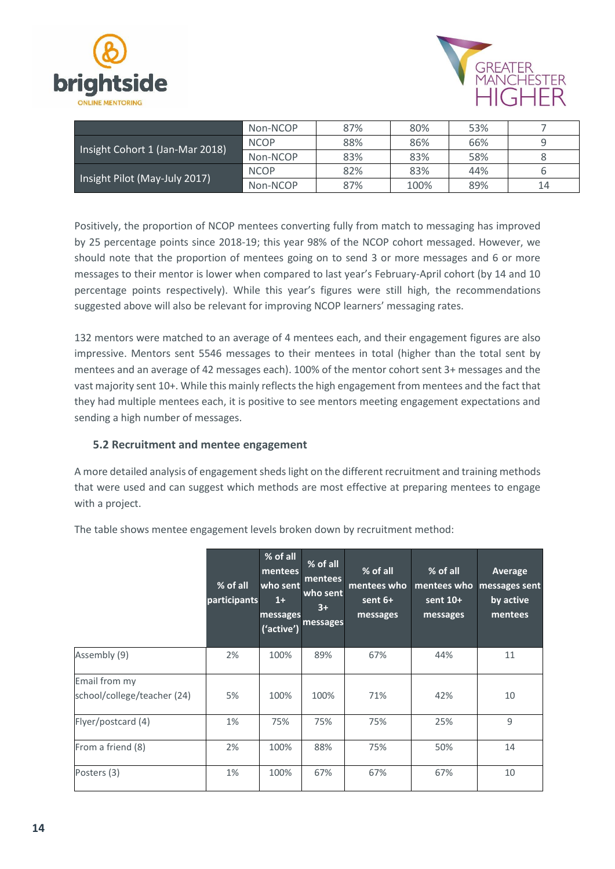



|                                 | Non-NCOP    | 87% | 80%  | 53% |    |
|---------------------------------|-------------|-----|------|-----|----|
|                                 | <b>NCOP</b> | 88% | 86%  | 66% | q  |
| Insight Cohort 1 (Jan-Mar 2018) | Non-NCOP    | 83% | 83%  | 58% |    |
|                                 | <b>NCOP</b> | 82% | 83%  | 44% |    |
| Insight Pilot (May-July 2017)   | Non-NCOP    | 87% | 100% | 89% | 14 |

Positively, the proportion of NCOP mentees converting fully from match to messaging has improved by 25 percentage points since 2018-19; this year 98% of the NCOP cohort messaged. However, we should note that the proportion of mentees going on to send 3 or more messages and 6 or more messages to their mentor is lower when compared to last year's February-April cohort (by 14 and 10 percentage points respectively). While this year's figures were still high, the recommendations suggested above will also be relevant for improving NCOP learners' messaging rates.

132 mentors were matched to an average of 4 mentees each, and their engagement figures are also impressive. Mentors sent 5546 messages to their mentees in total (higher than the total sent by mentees and an average of 42 messages each). 100% of the mentor cohort sent 3+ messages and the vast majority sent 10+. While this mainly reflects the high engagement from mentees and the fact that they had multiple mentees each, it is positive to see mentors meeting engagement expectations and sending a high number of messages.

# <span id="page-13-0"></span>**5.2 Recruitment and mentee engagement**

A more detailed analysis of engagement sheds light on the different recruitment and training methods that were used and can suggest which methods are most effective at preparing mentees to engage with a project.

|                                              | % of all<br>participants | % of all<br>mentees<br>who sent<br>$1+$<br>messages<br>('active') | % of all<br>mentees<br>who sent<br>$3+$<br>messages | % of all<br>mentees who<br>sent 6+<br>messages | % of all<br>mentees who<br>sent 10+<br>messages | Average<br>messages sent<br>by active<br>mentees |
|----------------------------------------------|--------------------------|-------------------------------------------------------------------|-----------------------------------------------------|------------------------------------------------|-------------------------------------------------|--------------------------------------------------|
| Assembly (9)                                 | 2%                       | 100%                                                              | 89%                                                 | 67%                                            | 44%                                             | 11                                               |
| Email from my<br>school/college/teacher (24) | 5%                       | 100%                                                              | 100%                                                | 71%                                            | 42%                                             | 10                                               |
| Flyer/postcard (4)                           | 1%                       | 75%                                                               | 75%                                                 | 75%                                            | 25%                                             | 9                                                |
| From a friend (8)                            | 2%                       | 100%                                                              | 88%                                                 | 75%                                            | 50%                                             | 14                                               |
| Posters (3)                                  | 1%                       | 100%                                                              | 67%                                                 | 67%                                            | 67%                                             | 10                                               |

The table shows mentee engagement levels broken down by recruitment method: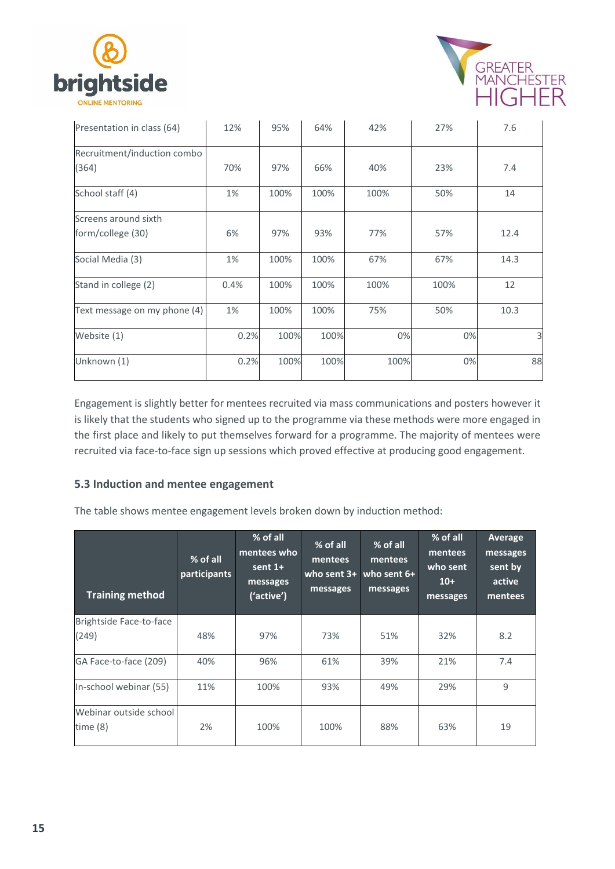



| Presentation in class (64)                | 12%  | 95%  | 64%  | 42%  | 27%  | 7.6  |
|-------------------------------------------|------|------|------|------|------|------|
| Recruitment/induction combo<br>(364)      | 70%  | 97%  | 66%  | 40%  | 23%  | 7.4  |
| School staff (4)                          | 1%   | 100% | 100% | 100% | 50%  | 14   |
| Screens around sixth<br>form/college (30) | 6%   | 97%  | 93%  | 77%  | 57%  | 12.4 |
| Social Media (3)                          | 1%   | 100% | 100% | 67%  | 67%  | 14.3 |
| Stand in college (2)                      | 0.4% | 100% | 100% | 100% | 100% | 12   |
| Text message on my phone (4)              | 1%   | 100% | 100% | 75%  | 50%  | 10.3 |
| Website (1)                               | 0.2% | 100% | 100% | 0%   | 0%   | 3    |
| Unknown (1)                               | 0.2% | 100% | 100% | 100% | 0%   | 88   |

Engagement is slightly better for mentees recruited via mass communications and posters however it is likely that the students who signed up to the programme via these methods were more engaged in the first place and likely to put themselves forward for a programme. The majority of mentees were recruited via face-to-face sign up sessions which proved effective at producing good engagement.

# <span id="page-14-0"></span>**5.3 Induction and mentee engagement**

The table shows mentee engagement levels broken down by induction method:

| <b>Training method</b>             | % of all<br>participants | % of all<br>mentees who<br>sent $1+$<br>messages<br>('active') | % of all<br>mentees<br>who sent $3+$<br>messages | % of all<br>mentees<br>who sent $6+$<br>messages | $%$ of all<br>mentees<br>who sent<br>$10+$<br>messages | Average<br>messages<br>sent by<br>active<br>mentees |
|------------------------------------|--------------------------|----------------------------------------------------------------|--------------------------------------------------|--------------------------------------------------|--------------------------------------------------------|-----------------------------------------------------|
| Brightside Face-to-face<br>(249)   | 48%                      | 97%                                                            | 73%                                              | 51%                                              | 32%                                                    | 8.2                                                 |
| GA Face-to-face (209)              | 40%                      | 96%                                                            | 61%                                              | 39%                                              | 21%                                                    | 7.4                                                 |
| In-school webinar (55)             | 11%                      | 100%                                                           | 93%                                              | 49%                                              | 29%                                                    | 9                                                   |
| Webinar outside school<br>time (8) | 2%                       | 100%                                                           | 100%                                             | 88%                                              | 63%                                                    | 19                                                  |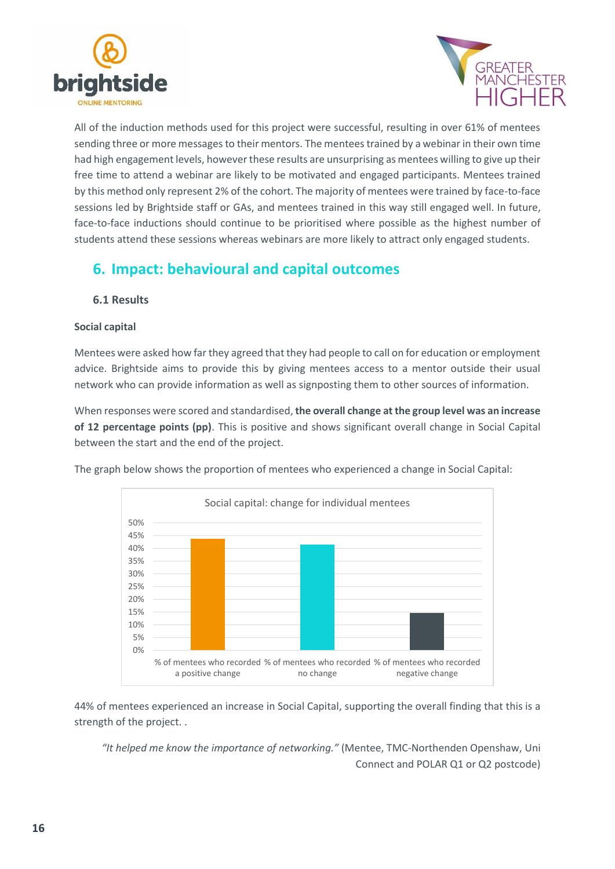



All of the induction methods used for this project were successful, resulting in over 61% of mentees sending three or more messages to their mentors. The mentees trained by a webinar in their own time had high engagement levels, however these results are unsurprising as mentees willing to give up their free time to attend a webinar are likely to be motivated and engaged participants. Mentees trained by this method only represent 2% of the cohort. The majority of mentees were trained by face-to-face sessions led by Brightside staff or GAs, and mentees trained in this way still engaged well. In future, face-to-face inductions should continue to be prioritised where possible as the highest number of students attend these sessions whereas webinars are more likely to attract only engaged students.

# <span id="page-15-0"></span>**6. Impact: behavioural and capital outcomes**

# <span id="page-15-1"></span>**6.1 Results**

#### **Social capital**

Mentees were asked how far they agreed that they had people to call on for education or employment advice. Brightside aims to provide this by giving mentees access to a mentor outside their usual network who can provide information as well as signposting them to other sources of information.

When responses were scored and standardised, **the overall change at the group level was an increase of 12 percentage points (pp)**. This is positive and shows significant overall change in Social Capital between the start and the end of the project.

The graph below shows the proportion of mentees who experienced a change in Social Capital:



44% of mentees experienced an increase in Social Capital, supporting the overall finding that this is a strength of the project. .

*"It helped me know the importance of networking."* (Mentee, TMC-Northenden Openshaw, Uni Connect and POLAR Q1 or Q2 postcode)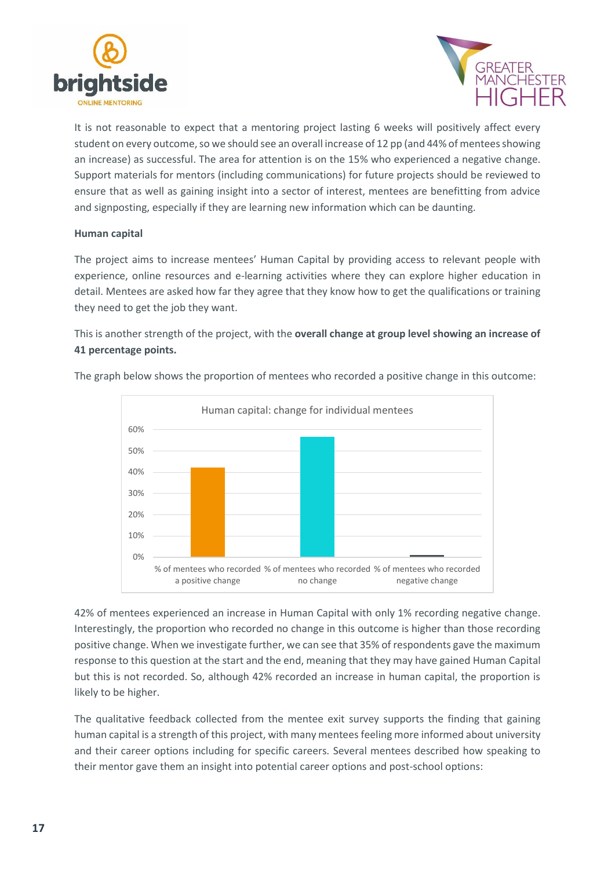



It is not reasonable to expect that a mentoring project lasting 6 weeks will positively affect every student on every outcome, so we should see an overall increase of 12 pp (and 44% of mentees showing an increase) as successful. The area for attention is on the 15% who experienced a negative change. Support materials for mentors (including communications) for future projects should be reviewed to ensure that as well as gaining insight into a sector of interest, mentees are benefitting from advice and signposting, especially if they are learning new information which can be daunting.

#### **Human capital**

The project aims to increase mentees' Human Capital by providing access to relevant people with experience, online resources and e-learning activities where they can explore higher education in detail. Mentees are asked how far they agree that they know how to get the qualifications or training they need to get the job they want.

This is another strength of the project, with the **overall change at group level showing an increase of 41 percentage points.** 



The graph below shows the proportion of mentees who recorded a positive change in this outcome:

42% of mentees experienced an increase in Human Capital with only 1% recording negative change. Interestingly, the proportion who recorded no change in this outcome is higher than those recording positive change. When we investigate further, we can see that 35% of respondents gave the maximum response to this question at the start and the end, meaning that they may have gained Human Capital but this is not recorded. So, although 42% recorded an increase in human capital, the proportion is likely to be higher.

The qualitative feedback collected from the mentee exit survey supports the finding that gaining human capital is a strength of this project, with many mentees feeling more informed about university and their career options including for specific careers. Several mentees described how speaking to their mentor gave them an insight into potential career options and post-school options: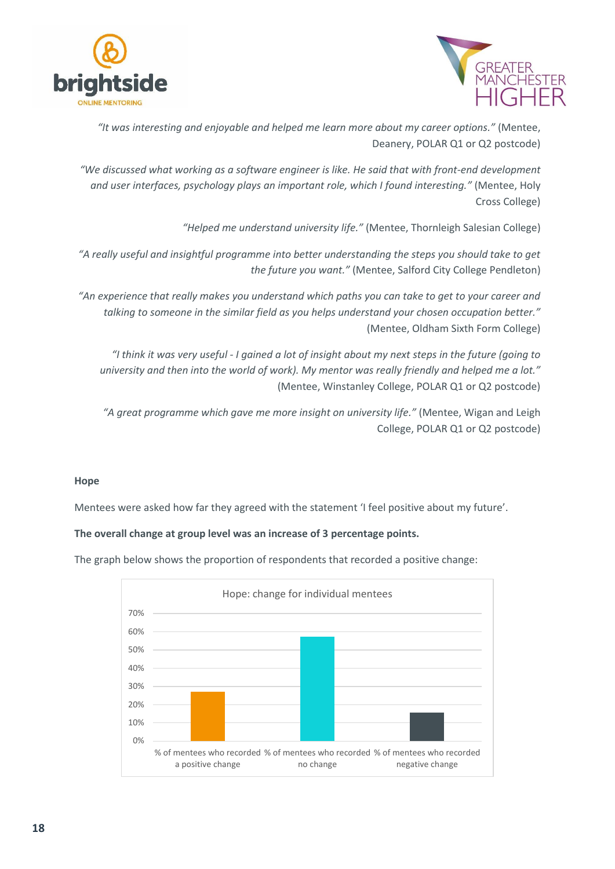



*"It was interesting and enjoyable and helped me learn more about my career options."* (Mentee, Deanery, POLAR Q1 or Q2 postcode)

*"We discussed what working as a software engineer is like. He said that with front-end development and user interfaces, psychology plays an important role, which I found interesting."* (Mentee, Holy Cross College)

*"Helped me understand university life."* (Mentee, Thornleigh Salesian College)

*"A really useful and insightful programme into better understanding the steps you should take to get the future you want."* (Mentee, Salford City College Pendleton)

*"An experience that really makes you understand which paths you can take to get to your career and talking to someone in the similar field as you helps understand your chosen occupation better."* (Mentee, Oldham Sixth Form College)

*"I think it was very useful - I gained a lot of insight about my next steps in the future (going to university and then into the world of work). My mentor was really friendly and helped me a lot."* (Mentee, Winstanley College, POLAR Q1 or Q2 postcode)

*"A great programme which gave me more insight on university life."* (Mentee, Wigan and Leigh College, POLAR Q1 or Q2 postcode)

### **Hope**

Mentees were asked how far they agreed with the statement 'I feel positive about my future'.

**The overall change at group level was an increase of 3 percentage points.**

The graph below shows the proportion of respondents that recorded a positive change:

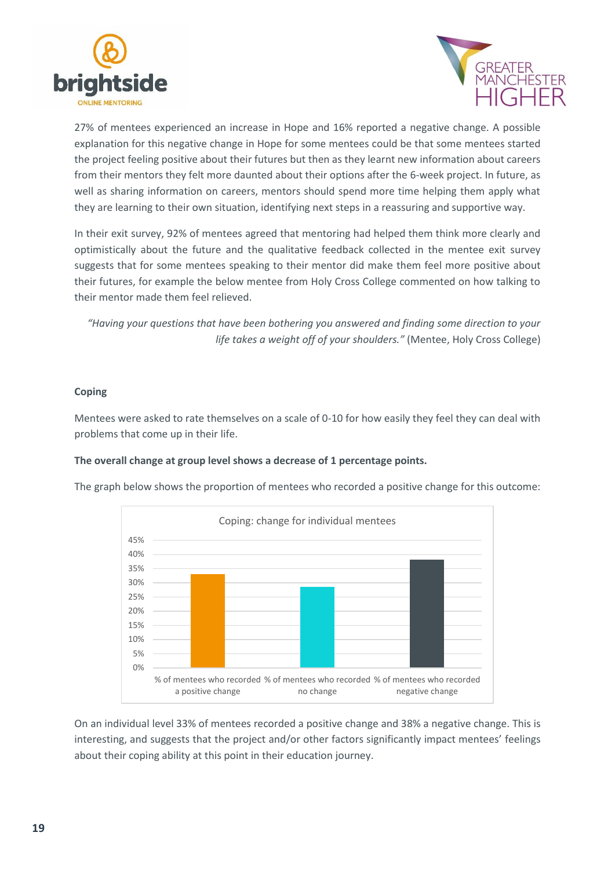



27% of mentees experienced an increase in Hope and 16% reported a negative change. A possible explanation for this negative change in Hope for some mentees could be that some mentees started the project feeling positive about their futures but then as they learnt new information about careers from their mentors they felt more daunted about their options after the 6-week project. In future, as well as sharing information on careers, mentors should spend more time helping them apply what they are learning to their own situation, identifying next steps in a reassuring and supportive way.

In their exit survey, 92% of mentees agreed that mentoring had helped them think more clearly and optimistically about the future and the qualitative feedback collected in the mentee exit survey suggests that for some mentees speaking to their mentor did make them feel more positive about their futures, for example the below mentee from Holy Cross College commented on how talking to their mentor made them feel relieved.

*"Having your questions that have been bothering you answered and finding some direction to your life takes a weight off of your shoulders."* (Mentee, Holy Cross College)

### **Coping**

Mentees were asked to rate themselves on a scale of 0-10 for how easily they feel they can deal with problems that come up in their life.

#### **The overall change at group level shows a decrease of 1 percentage points.**

The graph below shows the proportion of mentees who recorded a positive change for this outcome:



On an individual level 33% of mentees recorded a positive change and 38% a negative change. This is interesting, and suggests that the project and/or other factors significantly impact mentees' feelings about their coping ability at this point in their education journey.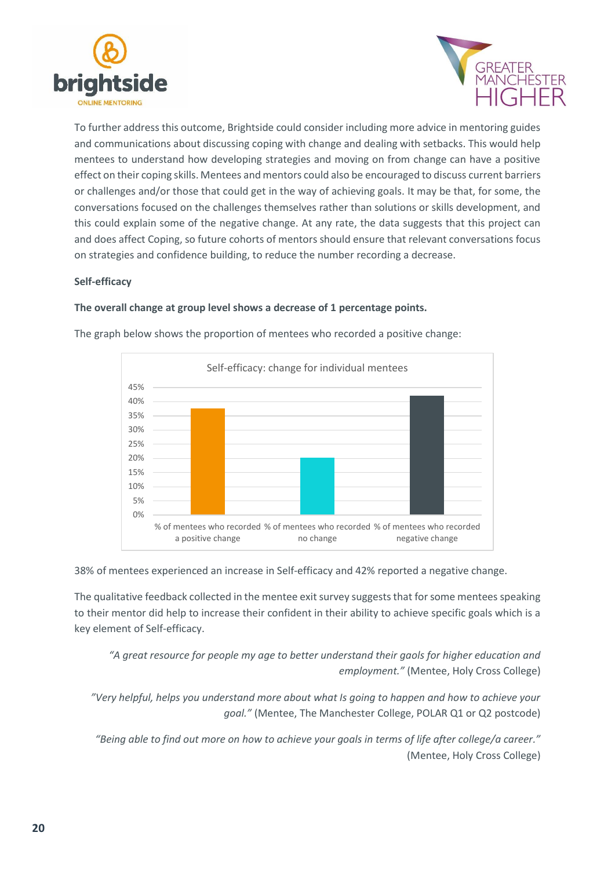



To further address this outcome, Brightside could consider including more advice in mentoring guides and communications about discussing coping with change and dealing with setbacks. This would help mentees to understand how developing strategies and moving on from change can have a positive effect on their coping skills. Mentees and mentors could also be encouraged to discuss current barriers or challenges and/or those that could get in the way of achieving goals. It may be that, for some, the conversations focused on the challenges themselves rather than solutions or skills development, and this could explain some of the negative change. At any rate, the data suggests that this project can and does affect Coping, so future cohorts of mentors should ensure that relevant conversations focus on strategies and confidence building, to reduce the number recording a decrease.

### **Self-efficacy**

### **The overall change at group level shows a decrease of 1 percentage points.**



The graph below shows the proportion of mentees who recorded a positive change:

38% of mentees experienced an increase in Self-efficacy and 42% reported a negative change.

The qualitative feedback collected in the mentee exit survey suggests that for some mentees speaking to their mentor did help to increase their confident in their ability to achieve specific goals which is a key element of Self-efficacy.

*"A great resource for people my age to better understand their gaols for higher education and employment."* (Mentee, Holy Cross College)

*"Very helpful, helps you understand more about what Is going to happen and how to achieve your goal."* (Mentee, The Manchester College, POLAR Q1 or Q2 postcode)

*"Being able to find out more on how to achieve your goals in terms of life after college/a career."* (Mentee, Holy Cross College)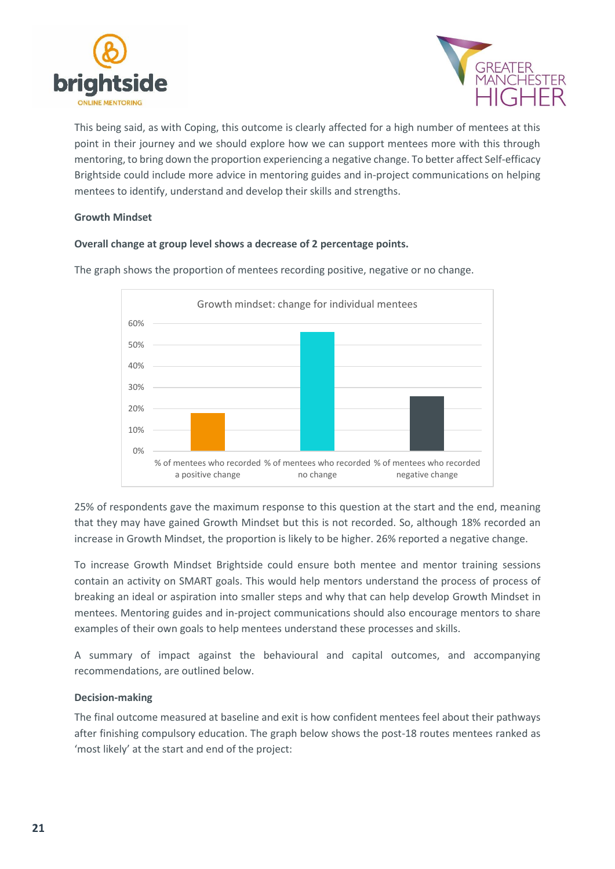



This being said, as with Coping, this outcome is clearly affected for a high number of mentees at this point in their journey and we should explore how we can support mentees more with this through mentoring, to bring down the proportion experiencing a negative change. To better affect Self-efficacy Brightside could include more advice in mentoring guides and in-project communications on helping mentees to identify, understand and develop their skills and strengths.

#### **Growth Mindset**

### **Overall change at group level shows a decrease of 2 percentage points.**



The graph shows the proportion of mentees recording positive, negative or no change.

25% of respondents gave the maximum response to this question at the start and the end, meaning that they may have gained Growth Mindset but this is not recorded. So, although 18% recorded an increase in Growth Mindset, the proportion is likely to be higher. 26% reported a negative change.

To increase Growth Mindset Brightside could ensure both mentee and mentor training sessions contain an activity on SMART goals. This would help mentors understand the process of process of breaking an ideal or aspiration into smaller steps and why that can help develop Growth Mindset in mentees. Mentoring guides and in-project communications should also encourage mentors to share examples of their own goals to help mentees understand these processes and skills.

A summary of impact against the behavioural and capital outcomes, and accompanying recommendations, are outlined below.

### **Decision-making**

The final outcome measured at baseline and exit is how confident mentees feel about their pathways after finishing compulsory education. The graph below shows the post-18 routes mentees ranked as 'most likely' at the start and end of the project: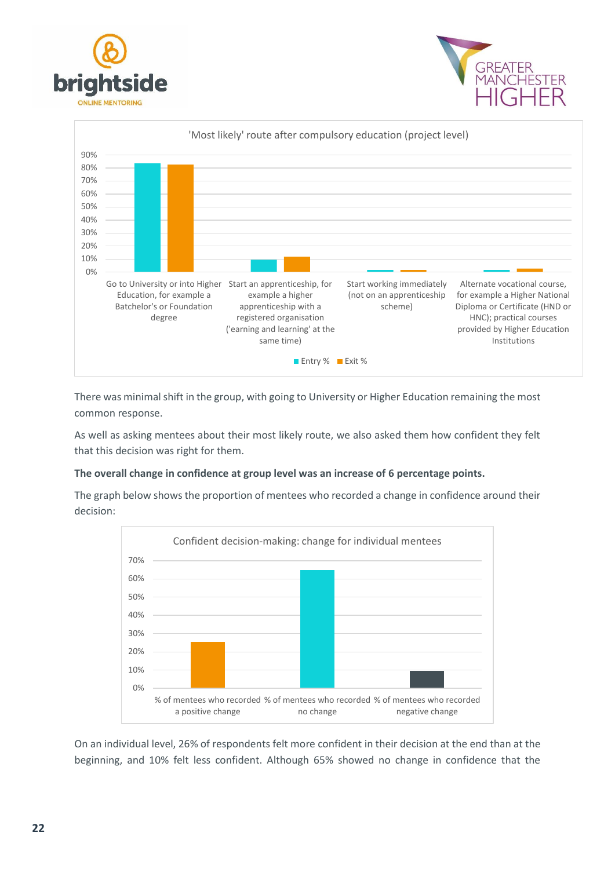





There was minimal shift in the group, with going to University or Higher Education remaining the most common response.

As well as asking mentees about their most likely route, we also asked them how confident they felt that this decision was right for them.

### **The overall change in confidence at group level was an increase of 6 percentage points.**

The graph below shows the proportion of mentees who recorded a change in confidence around their decision:



On an individual level, 26% of respondents felt more confident in their decision at the end than at the beginning, and 10% felt less confident. Although 65% showed no change in confidence that the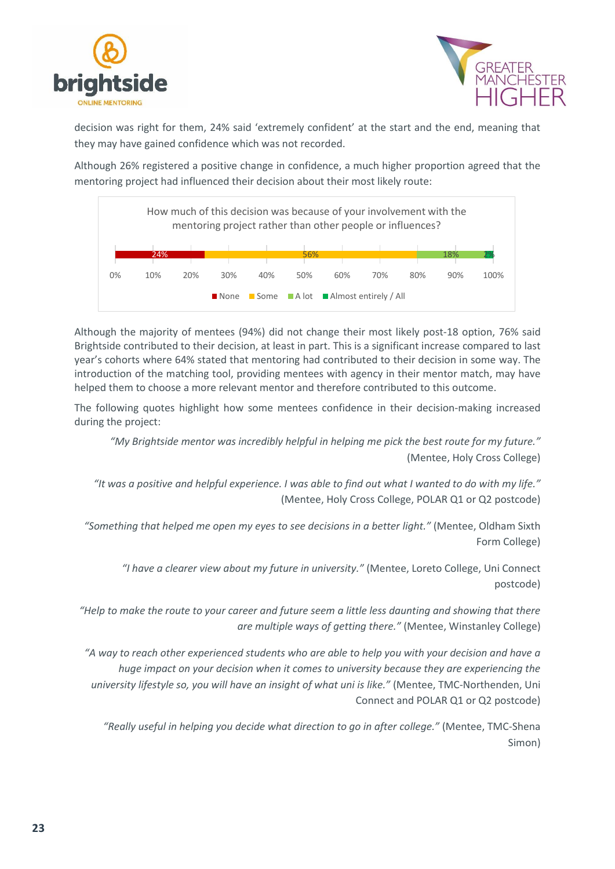



decision was right for them, 24% said 'extremely confident' at the start and the end, meaning that they may have gained confidence which was not recorded.

Although 26% registered a positive change in confidence, a much higher proportion agreed that the mentoring project had influenced their decision about their most likely route:



Although the majority of mentees (94%) did not change their most likely post-18 option, 76% said Brightside contributed to their decision, at least in part. This is a significant increase compared to last year's cohorts where 64% stated that mentoring had contributed to their decision in some way. The introduction of the matching tool, providing mentees with agency in their mentor match, may have helped them to choose a more relevant mentor and therefore contributed to this outcome.

The following quotes highlight how some mentees confidence in their decision-making increased during the project:

*"My Brightside mentor was incredibly helpful in helping me pick the best route for my future."* (Mentee, Holy Cross College)

*"It was a positive and helpful experience. I was able to find out what I wanted to do with my life."* (Mentee, Holy Cross College, POLAR Q1 or Q2 postcode)

*"Something that helped me open my eyes to see decisions in a better light."* (Mentee, Oldham Sixth Form College)

*"I have a clearer view about my future in university."* (Mentee, Loreto College, Uni Connect postcode)

*"Help to make the route to your career and future seem a little less daunting and showing that there are multiple ways of getting there."* (Mentee, Winstanley College)

*"A way to reach other experienced students who are able to help you with your decision and have a huge impact on your decision when it comes to university because they are experiencing the university lifestyle so, you will have an insight of what uni is like."* (Mentee, TMC-Northenden, Uni Connect and POLAR Q1 or Q2 postcode)

*"Really useful in helping you decide what direction to go in after college."* (Mentee, TMC-Shena Simon)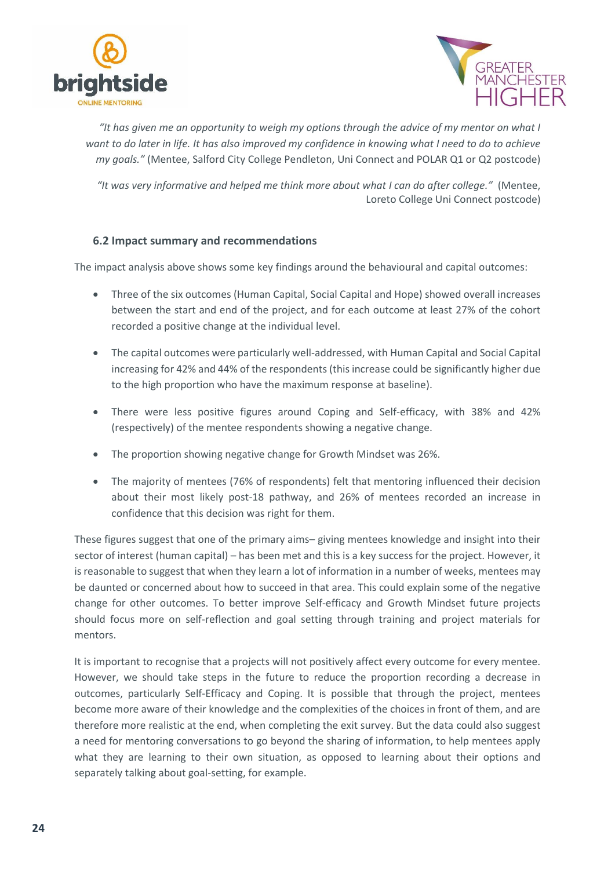



*"It has given me an opportunity to weigh my options through the advice of my mentor on what I want to do later in life. It has also improved my confidence in knowing what I need to do to achieve my goals."* (Mentee, Salford City College Pendleton, Uni Connect and POLAR Q1 or Q2 postcode)

*"It was very informative and helped me think more about what I can do after college."* (Mentee, Loreto College Uni Connect postcode)

# <span id="page-23-0"></span>**6.2 Impact summary and recommendations**

The impact analysis above shows some key findings around the behavioural and capital outcomes:

- Three of the six outcomes (Human Capital, Social Capital and Hope) showed overall increases between the start and end of the project, and for each outcome at least 27% of the cohort recorded a positive change at the individual level.
- The capital outcomes were particularly well-addressed, with Human Capital and Social Capital increasing for 42% and 44% of the respondents (this increase could be significantly higher due to the high proportion who have the maximum response at baseline).
- There were less positive figures around Coping and Self-efficacy, with 38% and 42% (respectively) of the mentee respondents showing a negative change.
- The proportion showing negative change for Growth Mindset was 26%.
- The majority of mentees (76% of respondents) felt that mentoring influenced their decision about their most likely post-18 pathway, and 26% of mentees recorded an increase in confidence that this decision was right for them.

These figures suggest that one of the primary aims– giving mentees knowledge and insight into their sector of interest (human capital) – has been met and this is a key success for the project. However, it is reasonable to suggest that when they learn a lot of information in a number of weeks, mentees may be daunted or concerned about how to succeed in that area. This could explain some of the negative change for other outcomes. To better improve Self-efficacy and Growth Mindset future projects should focus more on self-reflection and goal setting through training and project materials for mentors.

It is important to recognise that a projects will not positively affect every outcome for every mentee. However, we should take steps in the future to reduce the proportion recording a decrease in outcomes, particularly Self-Efficacy and Coping. It is possible that through the project, mentees become more aware of their knowledge and the complexities of the choices in front of them, and are therefore more realistic at the end, when completing the exit survey. But the data could also suggest a need for mentoring conversations to go beyond the sharing of information, to help mentees apply what they are learning to their own situation, as opposed to learning about their options and separately talking about goal-setting, for example.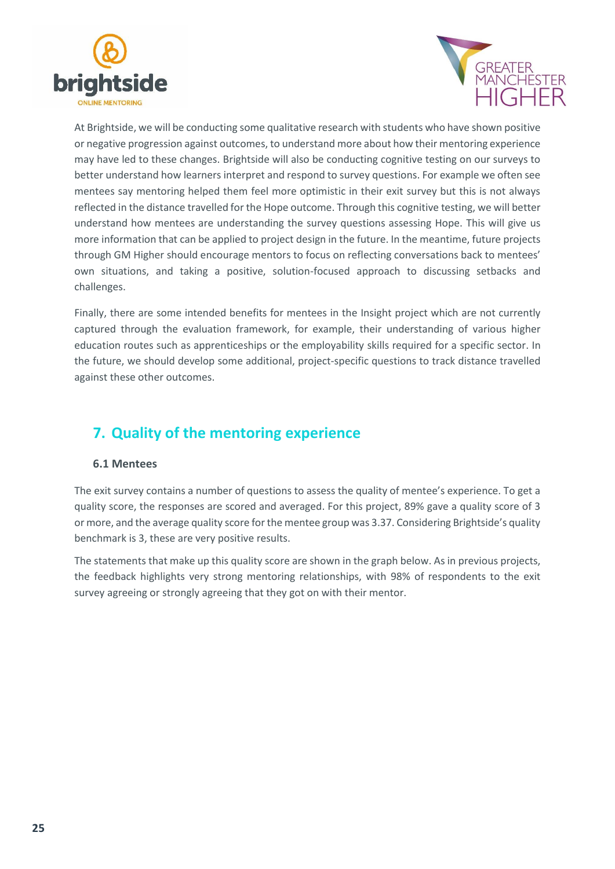



At Brightside, we will be conducting some qualitative research with students who have shown positive or negative progression against outcomes, to understand more about how their mentoring experience may have led to these changes. Brightside will also be conducting cognitive testing on our surveys to better understand how learners interpret and respond to survey questions. For example we often see mentees say mentoring helped them feel more optimistic in their exit survey but this is not always reflected in the distance travelled for the Hope outcome. Through this cognitive testing, we will better understand how mentees are understanding the survey questions assessing Hope. This will give us more information that can be applied to project design in the future. In the meantime, future projects through GM Higher should encourage mentors to focus on reflecting conversations back to mentees' own situations, and taking a positive, solution-focused approach to discussing setbacks and challenges.

Finally, there are some intended benefits for mentees in the Insight project which are not currently captured through the evaluation framework, for example, their understanding of various higher education routes such as apprenticeships or the employability skills required for a specific sector. In the future, we should develop some additional, project-specific questions to track distance travelled against these other outcomes.

# <span id="page-24-0"></span>**7. Quality of the mentoring experience**

# <span id="page-24-1"></span>**6.1 Mentees**

The exit survey contains a number of questions to assess the quality of mentee's experience. To get a quality score, the responses are scored and averaged. For this project, 89% gave a quality score of 3 or more, and the average quality score for the mentee group was 3.37. Considering Brightside's quality benchmark is 3, these are very positive results.

The statements that make up this quality score are shown in the graph below. As in previous projects, the feedback highlights very strong mentoring relationships, with 98% of respondents to the exit survey agreeing or strongly agreeing that they got on with their mentor.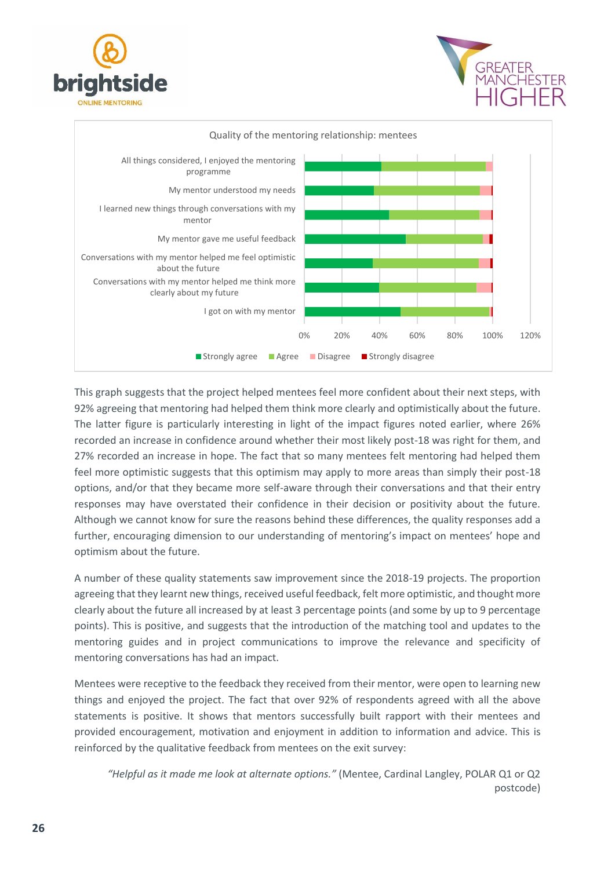





This graph suggests that the project helped mentees feel more confident about their next steps, with 92% agreeing that mentoring had helped them think more clearly and optimistically about the future. The latter figure is particularly interesting in light of the impact figures noted earlier, where 26% recorded an increase in confidence around whether their most likely post-18 was right for them, and 27% recorded an increase in hope. The fact that so many mentees felt mentoring had helped them feel more optimistic suggests that this optimism may apply to more areas than simply their post-18 options, and/or that they became more self-aware through their conversations and that their entry responses may have overstated their confidence in their decision or positivity about the future. Although we cannot know for sure the reasons behind these differences, the quality responses add a further, encouraging dimension to our understanding of mentoring's impact on mentees' hope and optimism about the future.

A number of these quality statements saw improvement since the 2018-19 projects. The proportion agreeing that they learnt new things, received useful feedback, felt more optimistic, and thought more clearly about the future all increased by at least 3 percentage points (and some by up to 9 percentage points). This is positive, and suggests that the introduction of the matching tool and updates to the mentoring guides and in project communications to improve the relevance and specificity of mentoring conversations has had an impact.

Mentees were receptive to the feedback they received from their mentor, were open to learning new things and enjoyed the project. The fact that over 92% of respondents agreed with all the above statements is positive. It shows that mentors successfully built rapport with their mentees and provided encouragement, motivation and enjoyment in addition to information and advice. This is reinforced by the qualitative feedback from mentees on the exit survey:

*"Helpful as it made me look at alternate options."* (Mentee, Cardinal Langley, POLAR Q1 or Q2 postcode)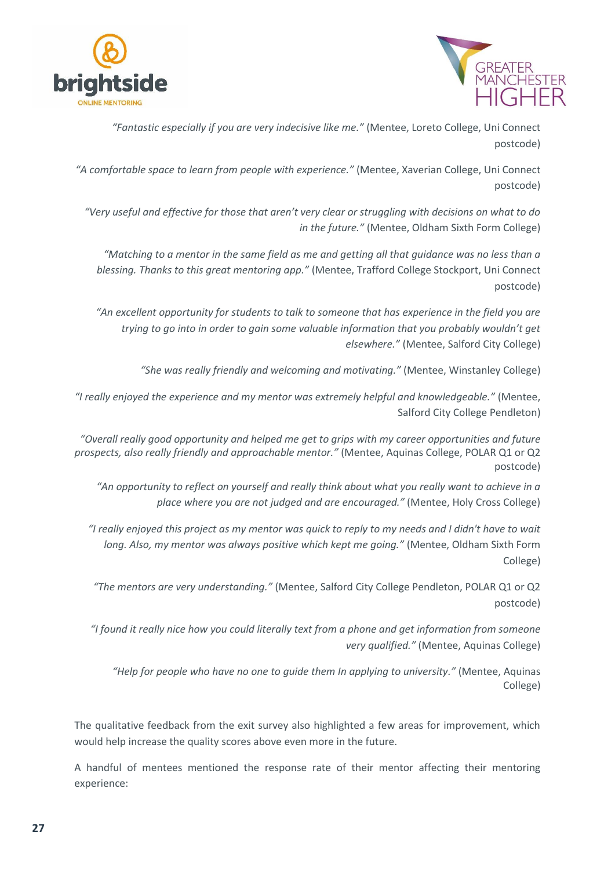



*"Fantastic especially if you are very indecisive like me."* (Mentee, Loreto College, Uni Connect postcode)

*"A comfortable space to learn from people with experience."* (Mentee, Xaverian College, Uni Connect postcode)

*"Very useful and effective for those that aren't very clear or struggling with decisions on what to do in the future."* (Mentee, Oldham Sixth Form College)

*"Matching to a mentor in the same field as me and getting all that guidance was no less than a blessing. Thanks to this great mentoring app."* (Mentee, Trafford College Stockport, Uni Connect postcode)

*"An excellent opportunity for students to talk to someone that has experience in the field you are trying to go into in order to gain some valuable information that you probably wouldn't get elsewhere."* (Mentee, Salford City College)

*"She was really friendly and welcoming and motivating."* (Mentee, Winstanley College)

*"I really enjoyed the experience and my mentor was extremely helpful and knowledgeable."* (Mentee, Salford City College Pendleton)

*"Overall really good opportunity and helped me get to grips with my career opportunities and future prospects, also really friendly and approachable mentor."* (Mentee, Aquinas College, POLAR Q1 or Q2 postcode)

*"An opportunity to reflect on yourself and really think about what you really want to achieve in a place where you are not judged and are encouraged."* (Mentee, Holy Cross College)

*"I really enjoyed this project as my mentor was quick to reply to my needs and I didn't have to wait long. Also, my mentor was always positive which kept me going."* (Mentee, Oldham Sixth Form College)

*"The mentors are very understanding."* (Mentee, Salford City College Pendleton, POLAR Q1 or Q2 postcode)

*"I found it really nice how you could literally text from a phone and get information from someone very qualified."* (Mentee, Aquinas College)

*"Help for people who have no one to guide them In applying to university."* (Mentee, Aquinas College)

The qualitative feedback from the exit survey also highlighted a few areas for improvement, which would help increase the quality scores above even more in the future.

A handful of mentees mentioned the response rate of their mentor affecting their mentoring experience: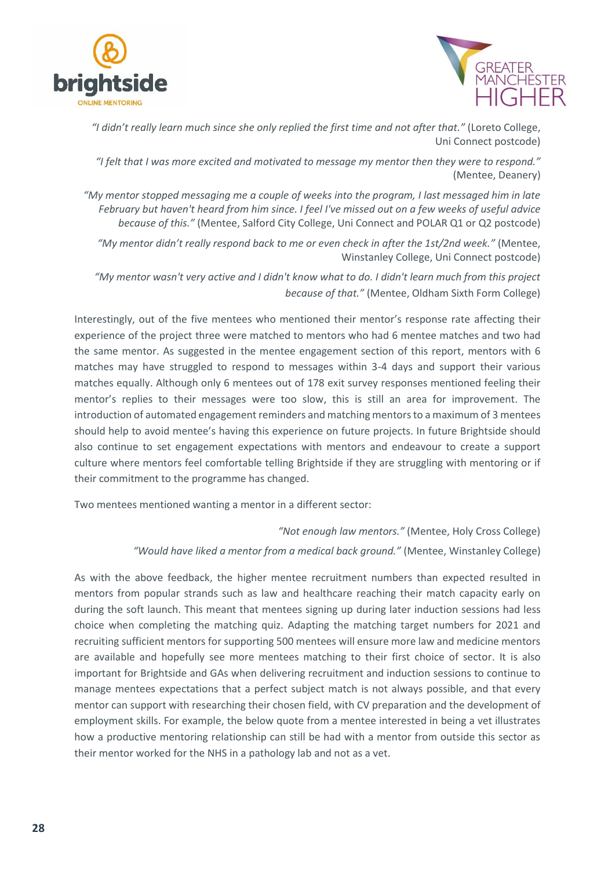



*"I didn't really learn much since she only replied the first time and not after that."* (Loreto College, Uni Connect postcode)

*"I felt that I was more excited and motivated to message my mentor then they were to respond."* (Mentee, Deanery)

*"My mentor stopped messaging me a couple of weeks into the program, I last messaged him in late February but haven't heard from him since. I feel I've missed out on a few weeks of useful advice because of this."* (Mentee, Salford City College, Uni Connect and POLAR Q1 or Q2 postcode)

*"My mentor didn't really respond back to me or even check in after the 1st/2nd week."* (Mentee, Winstanley College, Uni Connect postcode)

*"My mentor wasn't very active and I didn't know what to do. I didn't learn much from this project because of that."* (Mentee, Oldham Sixth Form College)

Interestingly, out of the five mentees who mentioned their mentor's response rate affecting their experience of the project three were matched to mentors who had 6 mentee matches and two had the same mentor. As suggested in the mentee engagement section of this report, mentors with 6 matches may have struggled to respond to messages within 3-4 days and support their various matches equally. Although only 6 mentees out of 178 exit survey responses mentioned feeling their mentor's replies to their messages were too slow, this is still an area for improvement. The introduction of automated engagement reminders and matching mentors to a maximum of 3 mentees should help to avoid mentee's having this experience on future projects. In future Brightside should also continue to set engagement expectations with mentors and endeavour to create a support culture where mentors feel comfortable telling Brightside if they are struggling with mentoring or if their commitment to the programme has changed.

Two mentees mentioned wanting a mentor in a different sector:

*"Not enough law mentors."* (Mentee, Holy Cross College)

*"Would have liked a mentor from a medical back ground."* (Mentee, Winstanley College)

As with the above feedback, the higher mentee recruitment numbers than expected resulted in mentors from popular strands such as law and healthcare reaching their match capacity early on during the soft launch. This meant that mentees signing up during later induction sessions had less choice when completing the matching quiz. Adapting the matching target numbers for 2021 and recruiting sufficient mentors for supporting 500 mentees will ensure more law and medicine mentors are available and hopefully see more mentees matching to their first choice of sector. It is also important for Brightside and GAs when delivering recruitment and induction sessions to continue to manage mentees expectations that a perfect subject match is not always possible, and that every mentor can support with researching their chosen field, with CV preparation and the development of employment skills. For example, the below quote from a mentee interested in being a vet illustrates how a productive mentoring relationship can still be had with a mentor from outside this sector as their mentor worked for the NHS in a pathology lab and not as a vet.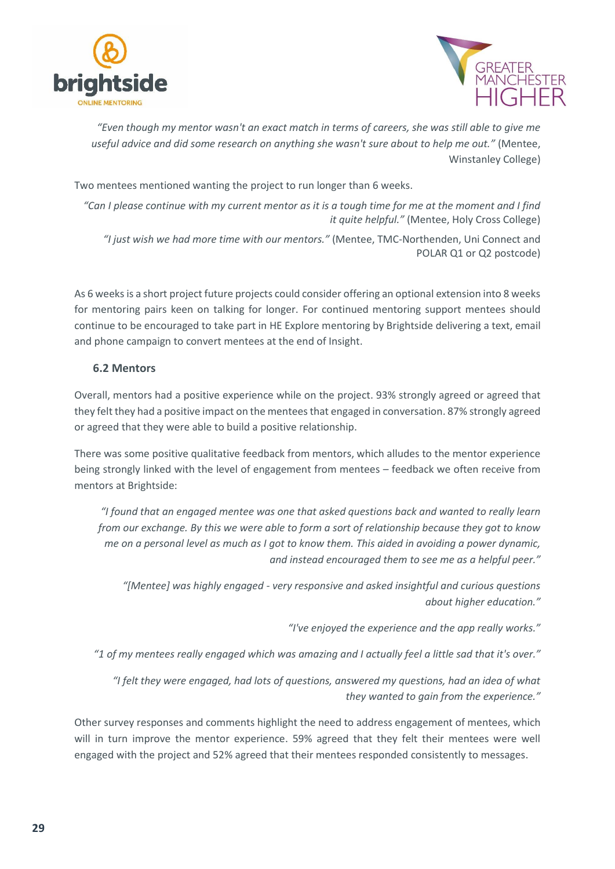



*"Even though my mentor wasn't an exact match in terms of careers, she was still able to give me useful advice and did some research on anything she wasn't sure about to help me out."* (Mentee, Winstanley College)

Two mentees mentioned wanting the project to run longer than 6 weeks.

*"Can I please continue with my current mentor as it is a tough time for me at the moment and I find it quite helpful."* (Mentee, Holy Cross College)

*"I just wish we had more time with our mentors."* (Mentee, TMC-Northenden, Uni Connect and POLAR Q1 or Q2 postcode)

As 6 weeks is a short project future projects could consider offering an optional extension into 8 weeks for mentoring pairs keen on talking for longer. For continued mentoring support mentees should continue to be encouraged to take part in HE Explore mentoring by Brightside delivering a text, email and phone campaign to convert mentees at the end of Insight.

# <span id="page-28-0"></span>**6.2 Mentors**

Overall, mentors had a positive experience while on the project. 93% strongly agreed or agreed that they felt they had a positive impact on the mentees that engaged in conversation. 87% strongly agreed or agreed that they were able to build a positive relationship.

There was some positive qualitative feedback from mentors, which alludes to the mentor experience being strongly linked with the level of engagement from mentees – feedback we often receive from mentors at Brightside:

*"I found that an engaged mentee was one that asked questions back and wanted to really learn from our exchange. By this we were able to form a sort of relationship because they got to know me on a personal level as much as I got to know them. This aided in avoiding a power dynamic, and instead encouraged them to see me as a helpful peer."*

*"[Mentee] was highly engaged - very responsive and asked insightful and curious questions about higher education."*

*"I've enjoyed the experience and the app really works."*

*"1 of my mentees really engaged which was amazing and I actually feel a little sad that it's over."*

*"I felt they were engaged, had lots of questions, answered my questions, had an idea of what they wanted to gain from the experience."*

Other survey responses and comments highlight the need to address engagement of mentees, which will in turn improve the mentor experience. 59% agreed that they felt their mentees were well engaged with the project and 52% agreed that their mentees responded consistently to messages.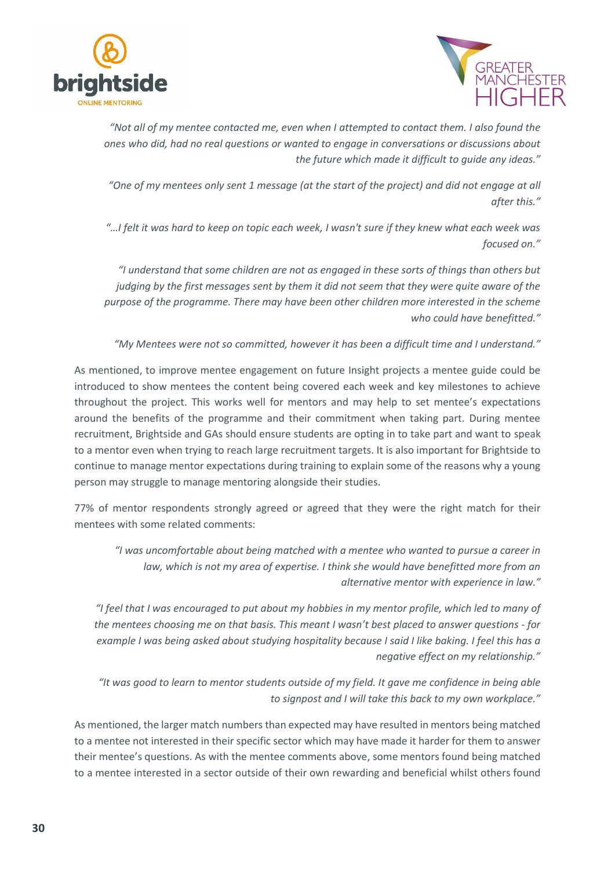



*"Not all of my mentee contacted me, even when I attempted to contact them. I also found the ones who did, had no real questions or wanted to engage in conversations or discussions about the future which made it difficult to guide any ideas."*

*"One of my mentees only sent 1 message (at the start of the project) and did not engage at all after this."*

*"…I felt it was hard to keep on topic each week, I wasn't sure if they knew what each week was focused on."*

*"I understand that some children are not as engaged in these sorts of things than others but judging by the first messages sent by them it did not seem that they were quite aware of the purpose of the programme. There may have been other children more interested in the scheme who could have benefitted."*

*"My Mentees were not so committed, however it has been a difficult time and I understand."*

As mentioned, to improve mentee engagement on future Insight projects a mentee guide could be introduced to show mentees the content being covered each week and key milestones to achieve throughout the project. This works well for mentors and may help to set mentee's expectations around the benefits of the programme and their commitment when taking part. During mentee recruitment, Brightside and GAs should ensure students are opting in to take part and want to speak to a mentor even when trying to reach large recruitment targets. It is also important for Brightside to continue to manage mentor expectations during training to explain some of the reasons why a young person may struggle to manage mentoring alongside their studies.

77% of mentor respondents strongly agreed or agreed that they were the right match for their mentees with some related comments:

*"I was uncomfortable about being matched with a mentee who wanted to pursue a career in*  law, which is not my area of expertise. I think she would have benefitted more from an *alternative mentor with experience in law."*

*"I feel that I was encouraged to put about my hobbies in my mentor profile, which led to many of the mentees choosing me on that basis. This meant I wasn't best placed to answer questions - for example I was being asked about studying hospitality because I said I like baking. I feel this has a negative effect on my relationship."*

*"It was good to learn to mentor students outside of my field. It gave me confidence in being able to signpost and I will take this back to my own workplace."*

As mentioned, the larger match numbers than expected may have resulted in mentors being matched to a mentee not interested in their specific sector which may have made it harder for them to answer their mentee's questions. As with the mentee comments above, some mentors found being matched to a mentee interested in a sector outside of their own rewarding and beneficial whilst others found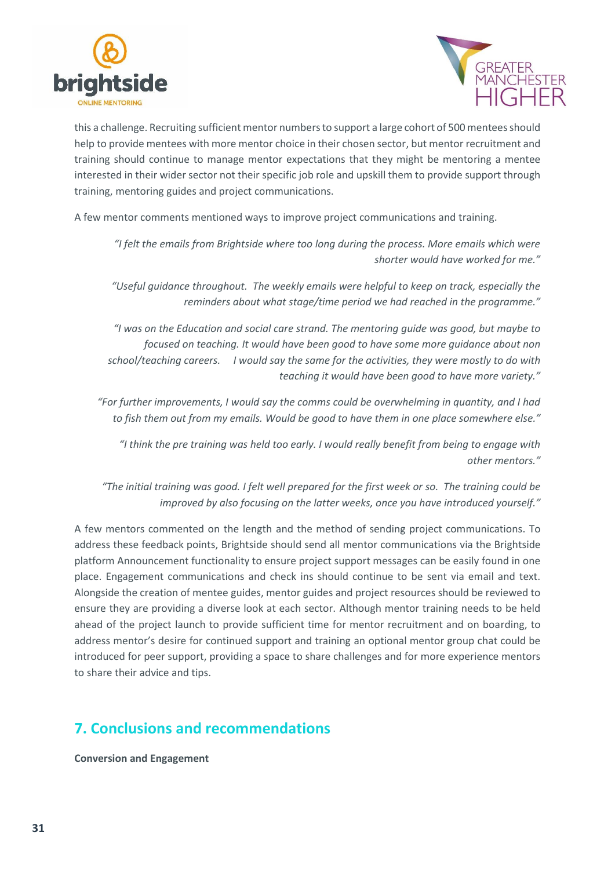



this a challenge. Recruiting sufficient mentor numbers to support a large cohort of 500 mentees should help to provide mentees with more mentor choice in their chosen sector, but mentor recruitment and training should continue to manage mentor expectations that they might be mentoring a mentee interested in their wider sector not their specific job role and upskill them to provide support through training, mentoring guides and project communications.

A few mentor comments mentioned ways to improve project communications and training.

*"I felt the emails from Brightside where too long during the process. More emails which were shorter would have worked for me."*

*"Useful guidance throughout. The weekly emails were helpful to keep on track, especially the reminders about what stage/time period we had reached in the programme."*

*"I was on the Education and social care strand. The mentoring guide was good, but maybe to focused on teaching. It would have been good to have some more guidance about non school/teaching careers. I would say the same for the activities, they were mostly to do with teaching it would have been good to have more variety."*

*"For further improvements, I would say the comms could be overwhelming in quantity, and I had to fish them out from my emails. Would be good to have them in one place somewhere else."*

*"I think the pre training was held too early. I would really benefit from being to engage with other mentors."*

*"The initial training was good. I felt well prepared for the first week or so. The training could be improved by also focusing on the latter weeks, once you have introduced yourself."*

A few mentors commented on the length and the method of sending project communications. To address these feedback points, Brightside should send all mentor communications via the Brightside platform Announcement functionality to ensure project support messages can be easily found in one place. Engagement communications and check ins should continue to be sent via email and text. Alongside the creation of mentee guides, mentor guides and project resources should be reviewed to ensure they are providing a diverse look at each sector. Although mentor training needs to be held ahead of the project launch to provide sufficient time for mentor recruitment and on boarding, to address mentor's desire for continued support and training an optional mentor group chat could be introduced for peer support, providing a space to share challenges and for more experience mentors to share their advice and tips.

# <span id="page-30-0"></span>**7. Conclusions and recommendations**

**Conversion and Engagement**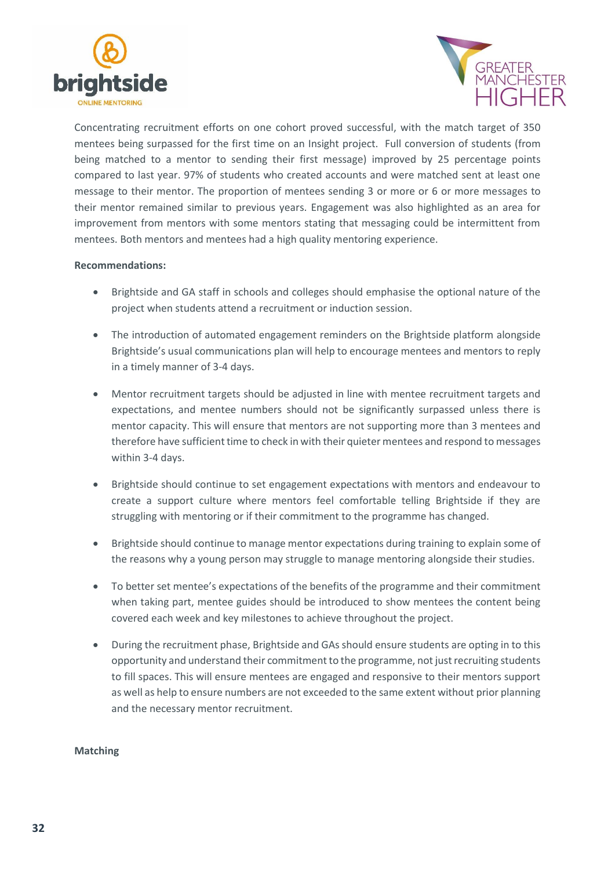



Concentrating recruitment efforts on one cohort proved successful, with the match target of 350 mentees being surpassed for the first time on an Insight project. Full conversion of students (from being matched to a mentor to sending their first message) improved by 25 percentage points compared to last year. 97% of students who created accounts and were matched sent at least one message to their mentor. The proportion of mentees sending 3 or more or 6 or more messages to their mentor remained similar to previous years. Engagement was also highlighted as an area for improvement from mentors with some mentors stating that messaging could be intermittent from mentees. Both mentors and mentees had a high quality mentoring experience.

#### **Recommendations:**

- Brightside and GA staff in schools and colleges should emphasise the optional nature of the project when students attend a recruitment or induction session.
- The introduction of automated engagement reminders on the Brightside platform alongside Brightside's usual communications plan will help to encourage mentees and mentors to reply in a timely manner of 3-4 days.
- Mentor recruitment targets should be adjusted in line with mentee recruitment targets and expectations, and mentee numbers should not be significantly surpassed unless there is mentor capacity. This will ensure that mentors are not supporting more than 3 mentees and therefore have sufficient time to check in with their quieter mentees and respond to messages within 3-4 days.
- Brightside should continue to set engagement expectations with mentors and endeavour to create a support culture where mentors feel comfortable telling Brightside if they are struggling with mentoring or if their commitment to the programme has changed.
- Brightside should continue to manage mentor expectations during training to explain some of the reasons why a young person may struggle to manage mentoring alongside their studies.
- To better set mentee's expectations of the benefits of the programme and their commitment when taking part, mentee guides should be introduced to show mentees the content being covered each week and key milestones to achieve throughout the project.
- During the recruitment phase, Brightside and GAs should ensure students are opting in to this opportunity and understand their commitment to the programme, not just recruiting students to fill spaces. This will ensure mentees are engaged and responsive to their mentors support as well as help to ensure numbers are not exceeded to the same extent without prior planning and the necessary mentor recruitment.

#### **Matching**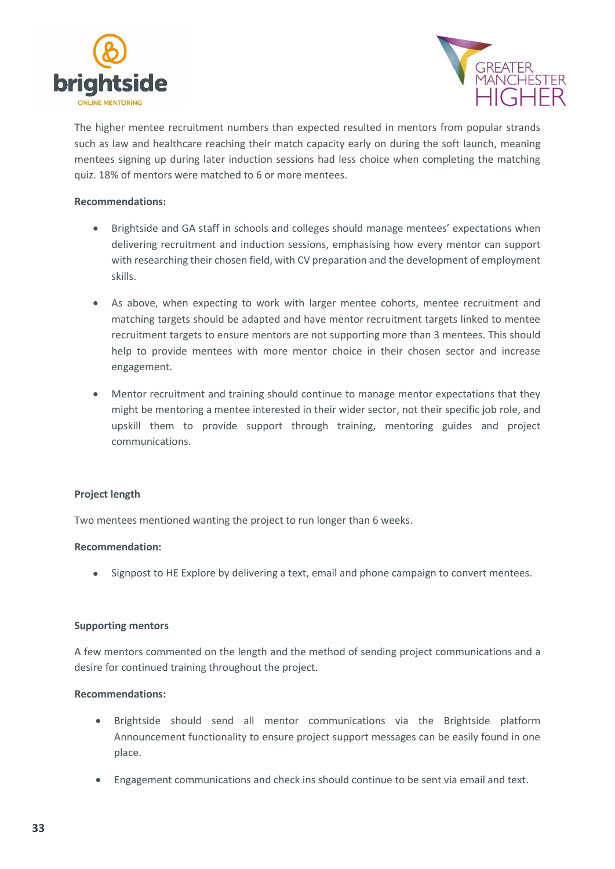



The higher mentee recruitment numbers than expected resulted in mentors from popular strands such as law and healthcare reaching their match capacity early on during the soft launch, meaning mentees signing up during later induction sessions had less choice when completing the matching quiz. 18% of mentors were matched to 6 or more mentees.

#### **Recommendations:**

- Brightside and GA staff in schools and colleges should manage mentees' expectations when delivering recruitment and induction sessions, emphasising how every mentor can support with researching their chosen field, with CV preparation and the development of employment skills.
- As above, when expecting to work with larger mentee cohorts, mentee recruitment and matching targets should be adapted and have mentor recruitment targets linked to mentee recruitment targets to ensure mentors are not supporting more than 3 mentees. This should help to provide mentees with more mentor choice in their chosen sector and increase engagement.
- Mentor recruitment and training should continue to manage mentor expectations that they might be mentoring a mentee interested in their wider sector, not their specific job role, and upskill them to provide support through training, mentoring guides and project communications.

### **Project length**

Two mentees mentioned wanting the project to run longer than 6 weeks.

#### **Recommendation:**

• Signpost to HE Explore by delivering a text, email and phone campaign to convert mentees.

#### **Supporting mentors**

A few mentors commented on the length and the method of sending project communications and a desire for continued training throughout the project.

#### **Recommendations:**

- Brightside should send all mentor communications via the Brightside platform Announcement functionality to ensure project support messages can be easily found in one place.
- Engagement communications and check ins should continue to be sent via email and text.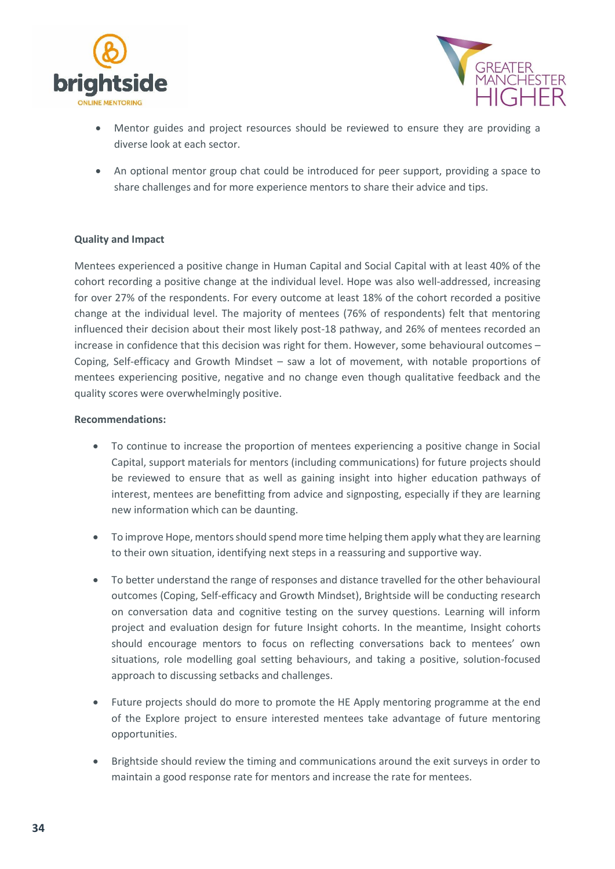



- Mentor guides and project resources should be reviewed to ensure they are providing a diverse look at each sector.
- An optional mentor group chat could be introduced for peer support, providing a space to share challenges and for more experience mentors to share their advice and tips.

#### **Quality and Impact**

Mentees experienced a positive change in Human Capital and Social Capital with at least 40% of the cohort recording a positive change at the individual level. Hope was also well-addressed, increasing for over 27% of the respondents. For every outcome at least 18% of the cohort recorded a positive change at the individual level. The majority of mentees (76% of respondents) felt that mentoring influenced their decision about their most likely post-18 pathway, and 26% of mentees recorded an increase in confidence that this decision was right for them. However, some behavioural outcomes – Coping, Self-efficacy and Growth Mindset – saw a lot of movement, with notable proportions of mentees experiencing positive, negative and no change even though qualitative feedback and the quality scores were overwhelmingly positive.

#### **Recommendations:**

- To continue to increase the proportion of mentees experiencing a positive change in Social Capital, support materials for mentors (including communications) for future projects should be reviewed to ensure that as well as gaining insight into higher education pathways of interest, mentees are benefitting from advice and signposting, especially if they are learning new information which can be daunting.
- To improve Hope, mentors should spend more time helping them apply what they are learning to their own situation, identifying next steps in a reassuring and supportive way.
- To better understand the range of responses and distance travelled for the other behavioural outcomes (Coping, Self-efficacy and Growth Mindset), Brightside will be conducting research on conversation data and cognitive testing on the survey questions. Learning will inform project and evaluation design for future Insight cohorts. In the meantime, Insight cohorts should encourage mentors to focus on reflecting conversations back to mentees' own situations, role modelling goal setting behaviours, and taking a positive, solution-focused approach to discussing setbacks and challenges.
- Future projects should do more to promote the HE Apply mentoring programme at the end of the Explore project to ensure interested mentees take advantage of future mentoring opportunities.
- Brightside should review the timing and communications around the exit surveys in order to maintain a good response rate for mentors and increase the rate for mentees.